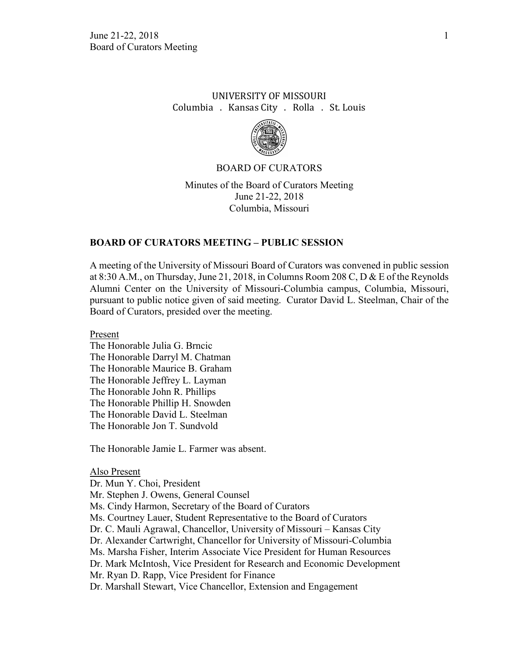## UNIVERSITY OF MISSOURI Columbia . Kansas City . Rolla . St. Louis



## BOARD OF CURATORS

Minutes of the Board of Curators Meeting June 21-22, 2018 Columbia, Missouri

## **BOARD OF CURATORS MEETING – PUBLIC SESSION**

A meeting of the University of Missouri Board of Curators was convened in public session at 8:30 A.M., on Thursday, June 21, 2018, in Columns Room 208 C, D & E of the Reynolds Alumni Center on the University of Missouri-Columbia campus, Columbia, Missouri, pursuant to public notice given of said meeting. Curator David L. Steelman, Chair of the Board of Curators, presided over the meeting.

Present

The Honorable Julia G. Brncic The Honorable Darryl M. Chatman The Honorable Maurice B. Graham The Honorable Jeffrey L. Layman The Honorable John R. Phillips The Honorable Phillip H. Snowden The Honorable David L. Steelman The Honorable Jon T. Sundvold

The Honorable Jamie L. Farmer was absent.

Also Present Dr. Mun Y. Choi, President Mr. Stephen J. Owens, General Counsel Ms. Cindy Harmon, Secretary of the Board of Curators Ms. Courtney Lauer, Student Representative to the Board of Curators Dr. C. Mauli Agrawal, Chancellor, University of Missouri – Kansas City Dr. Alexander Cartwright, Chancellor for University of Missouri-Columbia Ms. Marsha Fisher, Interim Associate Vice President for Human Resources Dr. Mark McIntosh, Vice President for Research and Economic Development Mr. Ryan D. Rapp, Vice President for Finance Dr. Marshall Stewart, Vice Chancellor, Extension and Engagement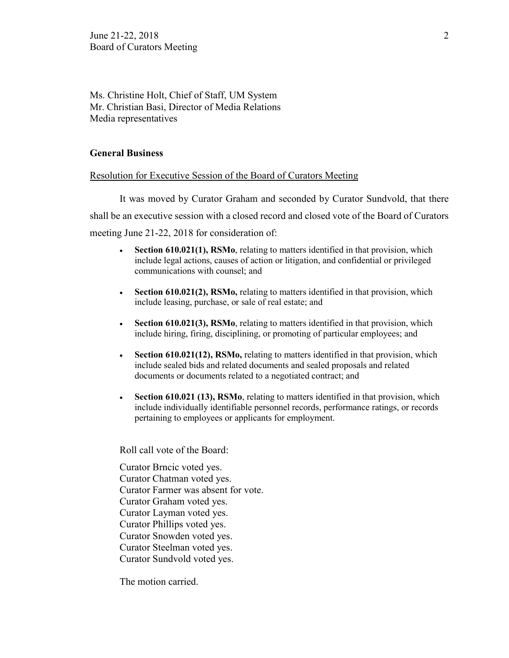Ms. Christine Holt, Chief of Staff, UM System Mr. Christian Basi, Director of Media Relations Media representatives

## **General Business**

## Resolution for Executive Session of the Board of Curators Meeting

It was moved by Curator Graham and seconded by Curator Sundvold, that there shall be an executive session with a closed record and closed vote of the Board of Curators meeting June 21-22, 2018 for consideration of:

- **Section 610.021(1), RSMo**, relating to matters identified in that provision, which include legal actions, causes of action or litigation, and confidential or privileged communications with counsel; and
- **Section 610.021(2), RSMo,** relating to matters identified in that provision, which include leasing, purchase, or sale of real estate; and
- **Section 610.021(3), RSMo**, relating to matters identified in that provision, which include hiring, firing, disciplining, or promoting of particular employees; and
- **Section 610.021(12), RSMo,** relating to matters identified in that provision, which include sealed bids and related documents and sealed proposals and related documents or documents related to a negotiated contract; and
- **Section 610.021 (13), RSMo**, relating to matters identified in that provision, which include individually identifiable personnel records, performance ratings, or records pertaining to employees or applicants for employment.

Roll call vote of the Board:

Curator Brncic voted yes. Curator Chatman voted yes. Curator Farmer was absent for vote. Curator Graham voted yes. Curator Layman voted yes. Curator Phillips voted yes. Curator Snowden voted yes. Curator Steelman voted yes. Curator Sundvold voted yes.

The motion carried.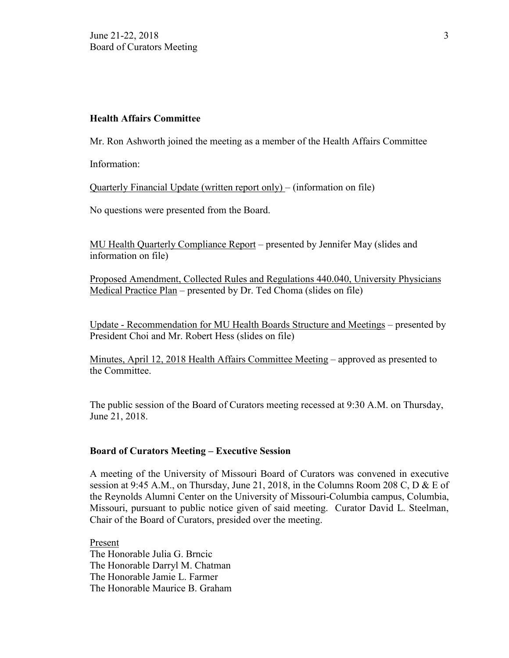## **Health Affairs Committee**

Mr. Ron Ashworth joined the meeting as a member of the Health Affairs Committee

Information:

Quarterly Financial Update (written report only) – (information on file)

No questions were presented from the Board.

MU Health Quarterly Compliance Report – presented by Jennifer May (slides and information on file)

Proposed Amendment, Collected Rules and Regulations 440.040, University Physicians Medical Practice Plan – presented by Dr. Ted Choma (slides on file)

Update - Recommendation for MU Health Boards Structure and Meetings – presented by President Choi and Mr. Robert Hess (slides on file)

Minutes, April 12, 2018 Health Affairs Committee Meeting – approved as presented to the Committee.

The public session of the Board of Curators meeting recessed at 9:30 A.M. on Thursday, June 21, 2018.

## **Board of Curators Meeting – Executive Session**

A meeting of the University of Missouri Board of Curators was convened in executive session at 9:45 A.M., on Thursday, June 21, 2018, in the Columns Room 208 C, D & E of the Reynolds Alumni Center on the University of Missouri-Columbia campus, Columbia, Missouri, pursuant to public notice given of said meeting. Curator David L. Steelman, Chair of the Board of Curators, presided over the meeting.

Present The Honorable Julia G. Brncic The Honorable Darryl M. Chatman The Honorable Jamie L. Farmer The Honorable Maurice B. Graham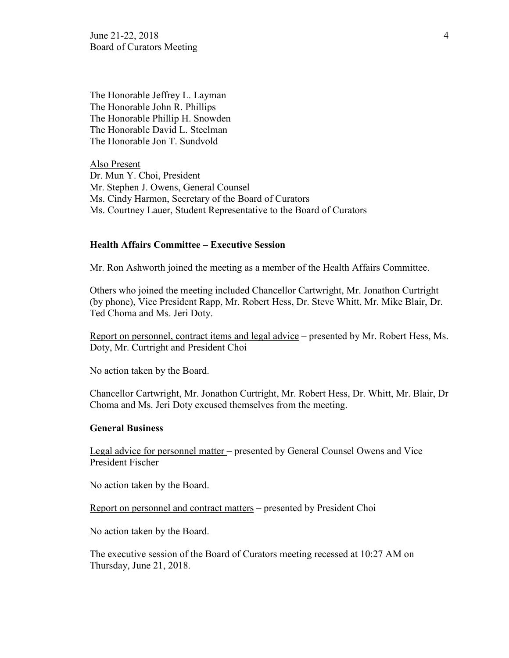June 21-22, 2018  $\frac{4}{3}$ Board of Curators Meeting

The Honorable Jeffrey L. Layman The Honorable John R. Phillips The Honorable Phillip H. Snowden The Honorable David L. Steelman The Honorable Jon T. Sundvold

Also Present Dr. Mun Y. Choi, President Mr. Stephen J. Owens, General Counsel Ms. Cindy Harmon, Secretary of the Board of Curators Ms. Courtney Lauer, Student Representative to the Board of Curators

#### **Health Affairs Committee – Executive Session**

Mr. Ron Ashworth joined the meeting as a member of the Health Affairs Committee.

Others who joined the meeting included Chancellor Cartwright, Mr. Jonathon Curtright (by phone), Vice President Rapp, Mr. Robert Hess, Dr. Steve Whitt, Mr. Mike Blair, Dr. Ted Choma and Ms. Jeri Doty.

Report on personnel, contract items and legal advice – presented by Mr. Robert Hess, Ms. Doty, Mr. Curtright and President Choi

No action taken by the Board.

Chancellor Cartwright, Mr. Jonathon Curtright, Mr. Robert Hess, Dr. Whitt, Mr. Blair, Dr Choma and Ms. Jeri Doty excused themselves from the meeting.

#### **General Business**

Legal advice for personnel matter – presented by General Counsel Owens and Vice President Fischer

No action taken by the Board.

Report on personnel and contract matters – presented by President Choi

No action taken by the Board.

The executive session of the Board of Curators meeting recessed at 10:27 AM on Thursday, June 21, 2018.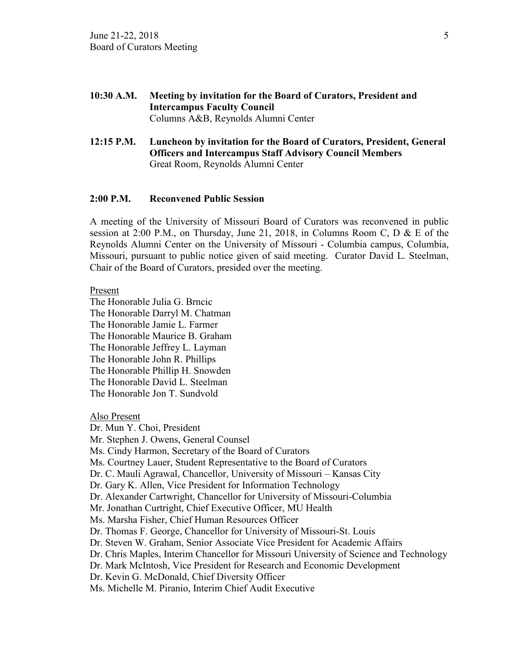- **10:30 A.M. Meeting by invitation for the Board of Curators, President and Intercampus Faculty Council** Columns A&B, Reynolds Alumni Center
- **12:15 P.M. Luncheon by invitation for the Board of Curators, President, General Officers and Intercampus Staff Advisory Council Members** Great Room, Reynolds Alumni Center

### **2:00 P.M. Reconvened Public Session**

A meeting of the University of Missouri Board of Curators was reconvened in public session at 2:00 P.M., on Thursday, June 21, 2018, in Columns Room C, D & E of the Reynolds Alumni Center on the University of Missouri - Columbia campus, Columbia, Missouri, pursuant to public notice given of said meeting. Curator David L. Steelman, Chair of the Board of Curators, presided over the meeting.

Present

The Honorable Julia G. Brncic The Honorable Darryl M. Chatman The Honorable Jamie L. Farmer The Honorable Maurice B. Graham The Honorable Jeffrey L. Layman The Honorable John R. Phillips The Honorable Phillip H. Snowden The Honorable David L. Steelman The Honorable Jon T. Sundvold

Also Present

Dr. Mun Y. Choi, President Mr. Stephen J. Owens, General Counsel Ms. Cindy Harmon, Secretary of the Board of Curators Ms. Courtney Lauer, Student Representative to the Board of Curators Dr. C. Mauli Agrawal, Chancellor, University of Missouri – Kansas City Dr. Gary K. Allen, Vice President for Information Technology Dr. Alexander Cartwright, Chancellor for University of Missouri-Columbia Mr. Jonathan Curtright, Chief Executive Officer, MU Health Ms. Marsha Fisher, Chief Human Resources Officer Dr. Thomas F. George, Chancellor for University of Missouri-St. Louis Dr. Steven W. Graham, Senior Associate Vice President for Academic Affairs Dr. Chris Maples, Interim Chancellor for Missouri University of Science and Technology Dr. Mark McIntosh, Vice President for Research and Economic Development Dr. Kevin G. McDonald, Chief Diversity Officer Ms. Michelle M. Piranio, Interim Chief Audit Executive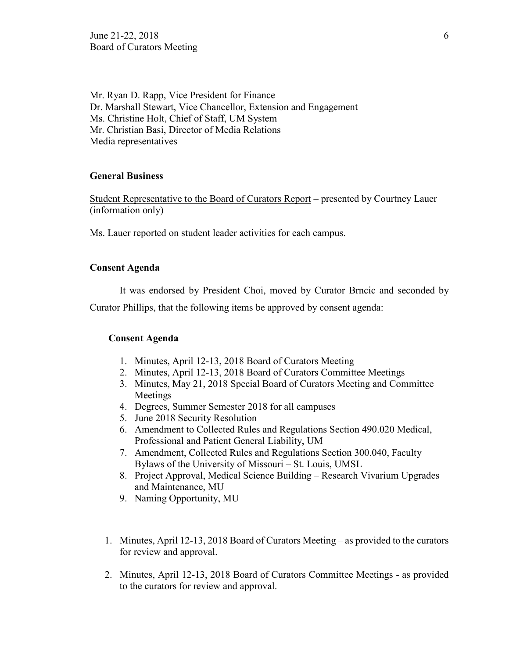June 21-22, 2018 6 Board of Curators Meeting

Mr. Ryan D. Rapp, Vice President for Finance Dr. Marshall Stewart, Vice Chancellor, Extension and Engagement Ms. Christine Holt, Chief of Staff, UM System Mr. Christian Basi, Director of Media Relations Media representatives

## **General Business**

Student Representative to the Board of Curators Report – presented by Courtney Lauer (information only)

Ms. Lauer reported on student leader activities for each campus.

### **Consent Agenda**

It was endorsed by President Choi, moved by Curator Brncic and seconded by

Curator Phillips, that the following items be approved by consent agenda:

## **Consent Agenda**

- 1. Minutes, April 12-13, 2018 Board of Curators Meeting
- 2. Minutes, April 12-13, 2018 Board of Curators Committee Meetings
- 3. Minutes, May 21, 2018 Special Board of Curators Meeting and Committee Meetings
- 4. Degrees, Summer Semester 2018 for all campuses
- 5. June 2018 Security Resolution
- 6. Amendment to Collected Rules and Regulations Section 490.020 Medical, Professional and Patient General Liability, UM
- 7. Amendment, Collected Rules and Regulations Section 300.040, Faculty Bylaws of the University of Missouri – St. Louis, UMSL
- 8. Project Approval, Medical Science Building Research Vivarium Upgrades and Maintenance, MU
- 9. Naming Opportunity, MU
- 1. Minutes, April 12-13, 2018 Board of Curators Meeting as provided to the curators for review and approval.
- 2. Minutes, April 12-13, 2018 Board of Curators Committee Meetings as provided to the curators for review and approval.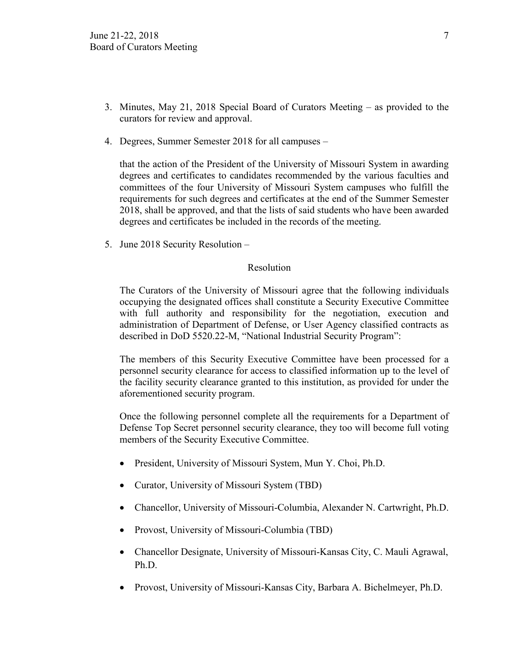- 3. Minutes, May 21, 2018 Special Board of Curators Meeting as provided to the curators for review and approval.
- 4. Degrees, Summer Semester 2018 for all campuses –

that the action of the President of the University of Missouri System in awarding degrees and certificates to candidates recommended by the various faculties and committees of the four University of Missouri System campuses who fulfill the requirements for such degrees and certificates at the end of the Summer Semester 2018, shall be approved, and that the lists of said students who have been awarded degrees and certificates be included in the records of the meeting.

5. June 2018 Security Resolution –

## Resolution

The Curators of the University of Missouri agree that the following individuals occupying the designated offices shall constitute a Security Executive Committee with full authority and responsibility for the negotiation, execution and administration of Department of Defense, or User Agency classified contracts as described in DoD 5520.22-M, "National Industrial Security Program":

The members of this Security Executive Committee have been processed for a personnel security clearance for access to classified information up to the level of the facility security clearance granted to this institution, as provided for under the aforementioned security program.

Once the following personnel complete all the requirements for a Department of Defense Top Secret personnel security clearance, they too will become full voting members of the Security Executive Committee.

- President, University of Missouri System, Mun Y. Choi, Ph.D.
- Curator, University of Missouri System (TBD)
- Chancellor, University of Missouri-Columbia, Alexander N. Cartwright, Ph.D.
- Provost, University of Missouri-Columbia (TBD)
- Chancellor Designate, University of Missouri-Kansas City, C. Mauli Agrawal, Ph.D.
- Provost, University of Missouri-Kansas City, Barbara A. Bichelmeyer, Ph.D.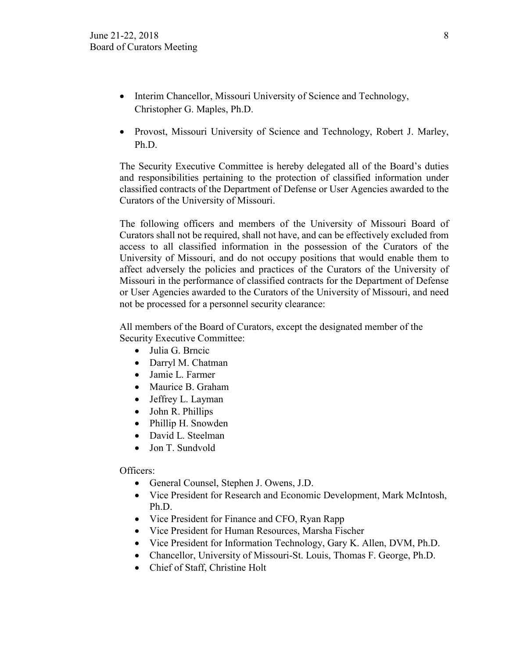- Interim Chancellor, Missouri University of Science and Technology, Christopher G. Maples, Ph.D.
- Provost, Missouri University of Science and Technology, Robert J. Marley, Ph.D.

The Security Executive Committee is hereby delegated all of the Board's duties and responsibilities pertaining to the protection of classified information under classified contracts of the Department of Defense or User Agencies awarded to the Curators of the University of Missouri.

The following officers and members of the University of Missouri Board of Curators shall not be required, shall not have, and can be effectively excluded from access to all classified information in the possession of the Curators of the University of Missouri, and do not occupy positions that would enable them to affect adversely the policies and practices of the Curators of the University of Missouri in the performance of classified contracts for the Department of Defense or User Agencies awarded to the Curators of the University of Missouri, and need not be processed for a personnel security clearance:

All members of the Board of Curators, except the designated member of the Security Executive Committee:

- Julia G. Brncic
- Darryl M. Chatman
- Jamie L. Farmer
- Maurice B. Graham
- Jeffrey L. Layman
- John R. Phillips
- Phillip H. Snowden
- David L. Steelman
- Jon T. Sundvold

## Officers:

- General Counsel, Stephen J. Owens, J.D.
- Vice President for Research and Economic Development, Mark McIntosh, Ph.D.
- Vice President for Finance and CFO, Ryan Rapp
- Vice President for Human Resources, Marsha Fischer
- Vice President for Information Technology, Gary K. Allen, DVM, Ph.D.
- Chancellor, University of Missouri-St. Louis, Thomas F. George, Ph.D.
- Chief of Staff, Christine Holt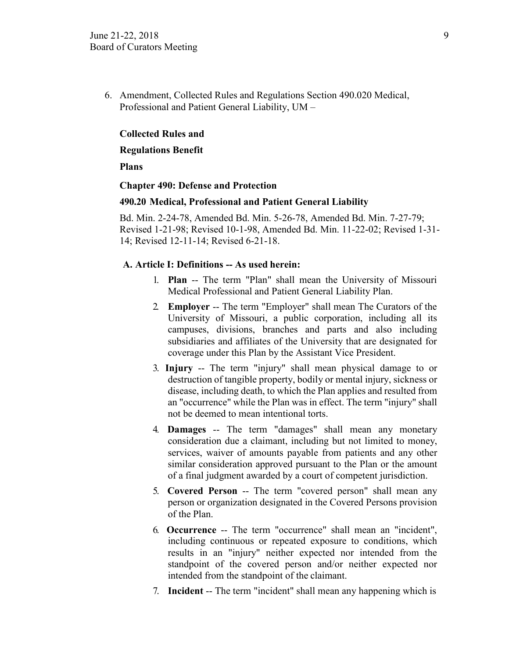6. Amendment, Collected Rules and Regulations Section 490.020 Medical, Professional and Patient General Liability, UM –

## **Collected Rules and**

### **Regulations Benefit**

#### **Plans**

#### **Chapter 490: Defense and Protection**

#### **490.20 Medical, Professional and Patient General Liability**

Bd. Min. 2-24-78, Amended Bd. Min. 5-26-78, Amended Bd. Min. 7-27-79; Revised 1-21-98; Revised 10-1-98, Amended Bd. Min. 11-22-02; Revised 1-31- 14; Revised 12-11-14; Revised 6-21-18.

### **A. Article I: Definitions -- As used herein:**

- 1. **Plan** -- The term "Plan" shall mean the University of Missouri Medical Professional and Patient General Liability Plan.
- 2. **Employer** -- The term "Employer" shall mean The Curators of the University of Missouri, a public corporation, including all its campuses, divisions, branches and parts and also including subsidiaries and affiliates of the University that are designated for coverage under this Plan by the Assistant Vice President.
- 3. **Injury** -- The term "injury" shall mean physical damage to or destruction of tangible property, bodily or mental injury, sickness or disease, including death, to which the Plan applies and resulted from an "occurrence" while the Plan was in effect. The term "injury" shall not be deemed to mean intentional torts.
- 4. **Damages** -- The term "damages" shall mean any monetary consideration due a claimant, including but not limited to money, services, waiver of amounts payable from patients and any other similar consideration approved pursuant to the Plan or the amount of a final judgment awarded by a court of competent jurisdiction.
- 5. **Covered Person** -- The term "covered person" shall mean any person or organization designated in the Covered Persons provision of the Plan.
- 6. **Occurrence** -- The term "occurrence" shall mean an "incident", including continuous or repeated exposure to conditions, which results in an "injury" neither expected nor intended from the standpoint of the covered person and/or neither expected nor intended from the standpoint of the claimant.
- 7. **Incident** -- The term "incident" shall mean any happening which is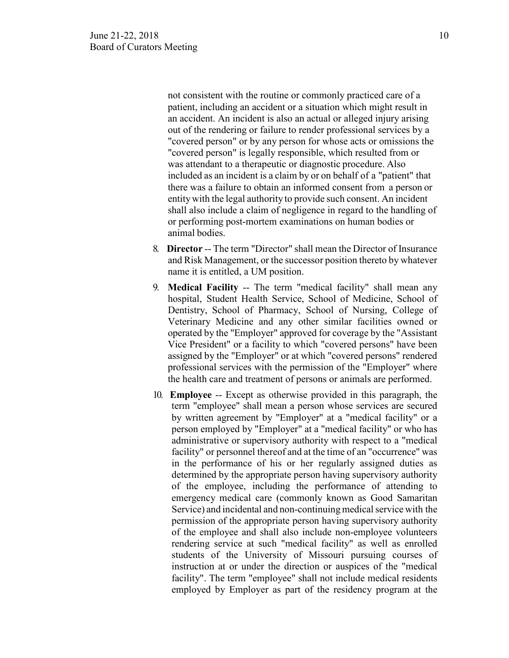not consistent with the routine or commonly practiced care of a patient, including an accident or a situation which might result in an accident. An incident is also an actual or alleged injury arising out of the rendering or failure to render professional services by a "covered person" or by any person for whose acts or omissions the "covered person" is legally responsible, which resulted from or was attendant to a therapeutic or diagnostic procedure. Also included as an incident is a claim by or on behalf of a "patient" that there was a failure to obtain an informed consent from a person or entitywith the legal authority to provide such consent. An incident shall also include a claim of negligence in regard to the handling of or performing post-mortem examinations on human bodies or animal bodies.

- 8. **Director** -- The term "Director" shall mean the Director of Insurance and Risk Management, or the successor position thereto by whatever name it is entitled, a UM position.
- 9. **Medical Facility** -- The term "medical facility" shall mean any hospital, Student Health Service, School of Medicine, School of Dentistry, School of Pharmacy, School of Nursing, College of Veterinary Medicine and any other similar facilities owned or operated by the "Employer" approved for coverage by the "Assistant Vice President" or a facility to which "covered persons" have been assigned by the "Employer" or at which "covered persons" rendered professional services with the permission of the "Employer" where the health care and treatment of persons or animals are performed.
- 10. **Employee** -- Except as otherwise provided in this paragraph, the term "employee" shall mean a person whose services are secured by written agreement by "Employer" at a "medical facility" or a person employed by "Employer" at a "medical facility" or who has administrative or supervisory authority with respect to a "medical facility" or personnel thereof and at the time of an "occurrence" was in the performance of his or her regularly assigned duties as determined by the appropriate person having supervisory authority of the employee, including the performance of attending to emergency medical care (commonly known as Good Samaritan Service) and incidental and non-continuing medical service with the permission of the appropriate person having supervisory authority of the employee and shall also include non-employee volunteers rendering service at such "medical facility" as well as enrolled students of the University of Missouri pursuing courses of instruction at or under the direction or auspices of the "medical facility". The term "employee" shall not include medical residents employed by Employer as part of the residency program at the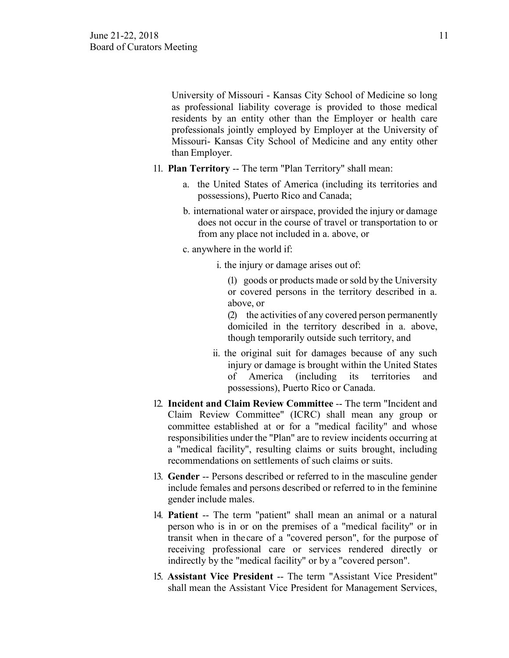University of Missouri - Kansas City School of Medicine so long as professional liability coverage is provided to those medical residents by an entity other than the Employer or health care professionals jointly employed by Employer at the University of Missouri- Kansas City School of Medicine and any entity other than Employer.

- 11. **Plan Territory** -- The term "Plan Territory" shall mean:
	- a. the United States of America (including its territories and possessions), Puerto Rico and Canada;
	- b. international water or airspace, provided the injury or damage does not occur in the course of travel or transportation to or from any place not included in a. above, or
	- c. anywhere in the world if:
		- i. the injury or damage arises out of:

(1) goods or products made or sold by the University or covered persons in the territory described in a. above, or

(2) the activities of any covered person permanently domiciled in the territory described in a. above, though temporarily outside such territory, and

- ii. the original suit for damages because of any such injury or damage is brought within the United States of America (including its territories and possessions), Puerto Rico or Canada.
- 12. **Incident and Claim Review Committee** -- The term "Incident and Claim Review Committee" (ICRC) shall mean any group or committee established at or for a "medical facility" and whose responsibilities under the "Plan" are to review incidents occurring at a "medical facility", resulting claims or suits brought, including recommendations on settlements of such claims or suits.
- 13. **Gender** -- Persons described or referred to in the masculine gender include females and persons described or referred to in the feminine gender include males.
- 14. **Patient** -- The term "patient" shall mean an animal or a natural person who is in or on the premises of a "medical facility" or in transit when in the care of a "covered person", for the purpose of receiving professional care or services rendered directly or indirectly by the "medical facility" or by a "covered person".
- 15. **Assistant Vice President** -- The term "Assistant Vice President" shall mean the Assistant Vice President for Management Services,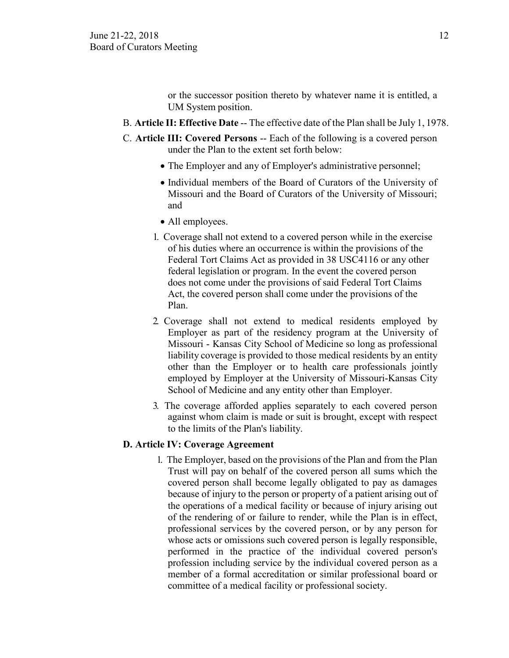or the successor position thereto by whatever name it is entitled, a UM System position.

- B. **Article II: Effective Date** -- The effective date of the Plan shall be July 1, 1978.
- C. **Article III: Covered Persons** -- Each of the following is a covered person under the Plan to the extent set forth below:
	- The Employer and any of Employer's administrative personnel;
	- Individual members of the Board of Curators of the University of Missouri and the Board of Curators of the University of Missouri; and
	- All employees.
	- 1. Coverage shall not extend to a covered person while in the exercise of his duties where an occurrence is within the provisions of the Federal Tort Claims Act as provided in 38 USC4116 or any other federal legislation or program. In the event the covered person does not come under the provisions of said Federal Tort Claims Act, the covered person shall come under the provisions of the Plan.
	- 2. Coverage shall not extend to medical residents employed by Employer as part of the residency program at the University of Missouri - Kansas City School of Medicine so long as professional liability coverage is provided to those medical residents by an entity other than the Employer or to health care professionals jointly employed by Employer at the University of Missouri-Kansas City School of Medicine and any entity other than Employer.
	- 3. The coverage afforded applies separately to each covered person against whom claim is made or suit is brought, except with respect to the limits of the Plan's liability.

## **D. Article IV: Coverage Agreement**

1. The Employer, based on the provisions of the Plan and from the Plan Trust will pay on behalf of the covered person all sums which the covered person shall become legally obligated to pay as damages because of injury to the person or property of a patient arising out of the operations of a medical facility or because of injury arising out of the rendering of or failure to render, while the Plan is in effect, professional services by the covered person, or by any person for whose acts or omissions such covered person is legally responsible, performed in the practice of the individual covered person's profession including service by the individual covered person as a member of a formal accreditation or similar professional board or committee of a medical facility or professional society.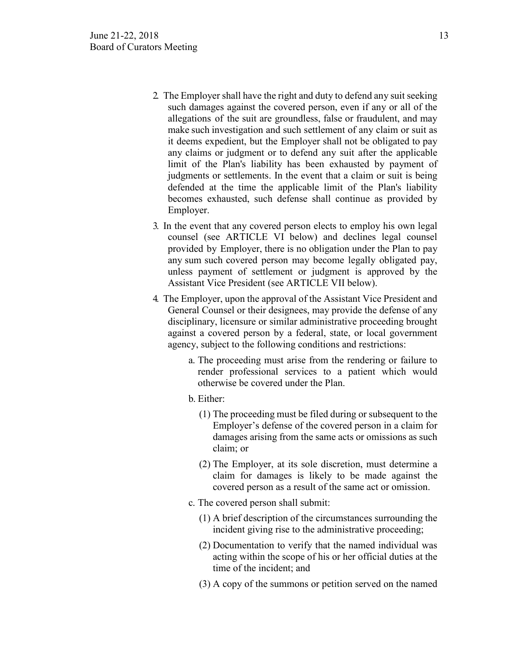- 2. The Employer shall have the right and duty to defend any suit seeking such damages against the covered person, even if any or all of the allegations of the suit are groundless, false or fraudulent, and may make such investigation and such settlement of any claim or suit as it deems expedient, but the Employer shall not be obligated to pay any claims or judgment or to defend any suit after the applicable limit of the Plan's liability has been exhausted by payment of judgments or settlements. In the event that a claim or suit is being defended at the time the applicable limit of the Plan's liability becomes exhausted, such defense shall continue as provided by Employer.
- 3. In the event that any covered person elects to employ his own legal counsel (see ARTICLE VI below) and declines legal counsel provided by Employer, there is no obligation under the Plan to pay any sum such covered person may become legally obligated pay, unless payment of settlement or judgment is approved by the Assistant Vice President (see ARTICLE VII below).
- 4. The Employer, upon the approval of the Assistant Vice President and General Counsel or their designees, may provide the defense of any disciplinary, licensure or similar administrative proceeding brought against a covered person by a federal, state, or local government agency, subject to the following conditions and restrictions:
	- a. The proceeding must arise from the rendering or failure to render professional services to a patient which would otherwise be covered under the Plan.
	- b. Either:
		- (1) The proceeding must be filed during or subsequent to the Employer's defense of the covered person in a claim for damages arising from the same acts or omissions as such claim; or
		- (2) The Employer, at its sole discretion, must determine a claim for damages is likely to be made against the covered person as a result of the same act or omission.
	- c. The covered person shall submit:
		- (1) A brief description of the circumstances surrounding the incident giving rise to the administrative proceeding;
		- (2) Documentation to verify that the named individual was acting within the scope of his or her official duties at the time of the incident; and
		- (3) A copy of the summons or petition served on the named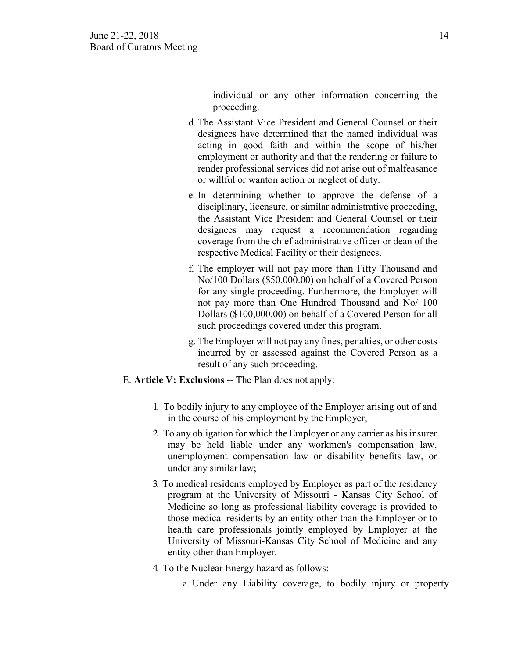individual or any other information concerning the proceeding.

- d. The Assistant Vice President and General Counsel or their designees have determined that the named individual was acting in good faith and within the scope of his/her employment or authority and that the rendering or failure to render professional services did not arise out of malfeasance or willful or wanton action or neglect of duty.
- e. In determining whether to approve the defense of a disciplinary, licensure, or similar administrative proceeding, the Assistant Vice President and General Counsel or their designees may request a recommendation regarding coverage from the chief administrative officer or dean of the respective Medical Facility or their designees.
- f. The employer will not pay more than Fifty Thousand and No/100 Dollars (\$50,000.00) on behalf of a Covered Person for any single proceeding. Furthermore, the Employer will not pay more than One Hundred Thousand and No/ 100 Dollars (\$100,000.00) on behalf of a Covered Person for all such proceedings covered under this program.
- g. The Employer will not pay any fines, penalties, or other costs incurred by or assessed against the Covered Person as a result of any such proceeding.
- E. **Article V: Exclusions** -- The Plan does not apply:
	- 1. To bodily injury to any employee of the Employer arising out of and in the course of his employment by the Employer;
	- 2. To any obligation for which the Employer or any carrier as his insurer may be held liable under any workmen's compensation law, unemployment compensation law or disability benefits law, or under any similar law;
	- 3. To medical residents employed by Employer as part of the residency program at the University of Missouri - Kansas City School of Medicine so long as professional liability coverage is provided to those medical residents by an entity other than the Employer or to health care professionals jointly employed by Employer at the University of Missouri-Kansas City School of Medicine and any entity other than Employer.
	- 4. To the Nuclear Energy hazard as follows:
		- a. Under any Liability coverage, to bodily injury or property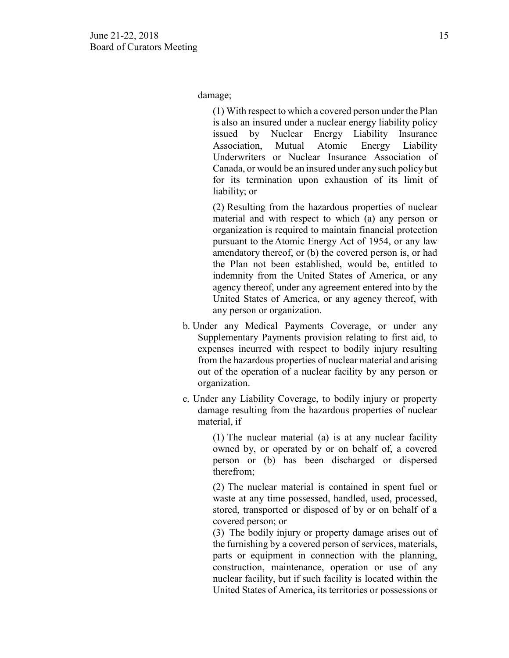damage;

(1) With respect to which a covered person under the Plan is also an insured under a nuclear energy liability policy issued by Nuclear Energy Liability Insurance Association, Mutual Atomic Energy Liability Underwriters or Nuclear Insurance Association of Canada, or would be an insured under any such policy but for its termination upon exhaustion of its limit of liability; or

(2) Resulting from the hazardous properties of nuclear material and with respect to which (a) any person or organization is required to maintain financial protection pursuant to the Atomic Energy Act of 1954, or any law amendatory thereof, or (b) the covered person is, or had the Plan not been established, would be, entitled to indemnity from the United States of America, or any agency thereof, under any agreement entered into by the United States of America, or any agency thereof, with any person or organization.

- b. Under any Medical Payments Coverage, or under any Supplementary Payments provision relating to first aid, to expenses incurred with respect to bodily injury resulting from the hazardous properties of nuclear material and arising out of the operation of a nuclear facility by any person or organization.
- c. Under any Liability Coverage, to bodily injury or property damage resulting from the hazardous properties of nuclear material, if

(1) The nuclear material (a) is at any nuclear facility owned by, or operated by or on behalf of, a covered person or (b) has been discharged or dispersed therefrom;

(2) The nuclear material is contained in spent fuel or waste at any time possessed, handled, used, processed, stored, transported or disposed of by or on behalf of a covered person; or

(3) The bodily injury or property damage arises out of the furnishing by a covered person of services, materials, parts or equipment in connection with the planning, construction, maintenance, operation or use of any nuclear facility, but if such facility is located within the United States of America, its territories or possessions or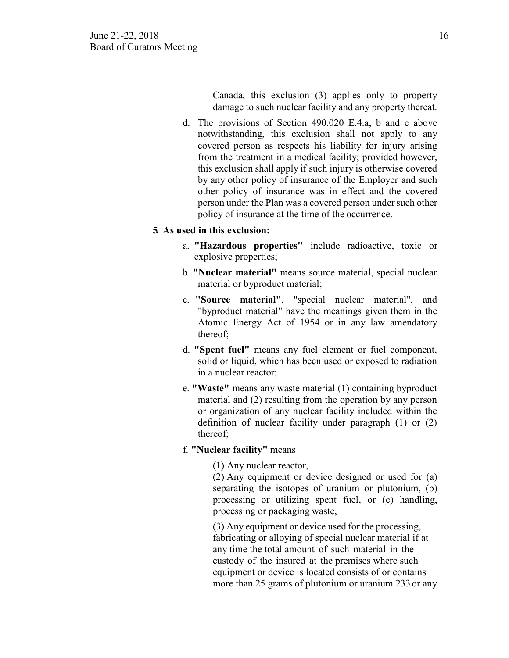Canada, this exclusion (3) applies only to property damage to such nuclear facility and any property thereat.

d. The provisions of Section 490.020 E.4.a, b and c above notwithstanding, this exclusion shall not apply to any covered person as respects his liability for injury arising from the treatment in a medical facility; provided however, this exclusion shall apply if such injury is otherwise covered by any other policy of insurance of the Employer and such other policy of insurance was in effect and the covered person under the Plan was a covered person under such other policy of insurance at the time of the occurrence.

## **5. As used in this exclusion:**

- a. **"Hazardous properties"** include radioactive, toxic or explosive properties;
- b. **"Nuclear material"** means source material, special nuclear material or byproduct material;
- c. **"Source material"**, "special nuclear material", and "byproduct material" have the meanings given them in the Atomic Energy Act of 1954 or in any law amendatory thereof;
- d. **"Spent fuel"** means any fuel element or fuel component, solid or liquid, which has been used or exposed to radiation in a nuclear reactor;
- e. **"Waste"** means any waste material (1) containing byproduct material and (2) resulting from the operation by any person or organization of any nuclear facility included within the definition of nuclear facility under paragraph (1) or (2) thereof;

## f. **"Nuclear facility"** means

(1) Any nuclear reactor,

(2) Any equipment or device designed or used for (a) separating the isotopes of uranium or plutonium, (b) processing or utilizing spent fuel, or (c) handling, processing or packaging waste,

(3) Any equipment or device used for the processing, fabricating or alloying of special nuclear material if at any time the total amount of such material in the custody of the insured at the premises where such equipment or device is located consists of or contains more than 25 grams of plutonium or uranium 233 or any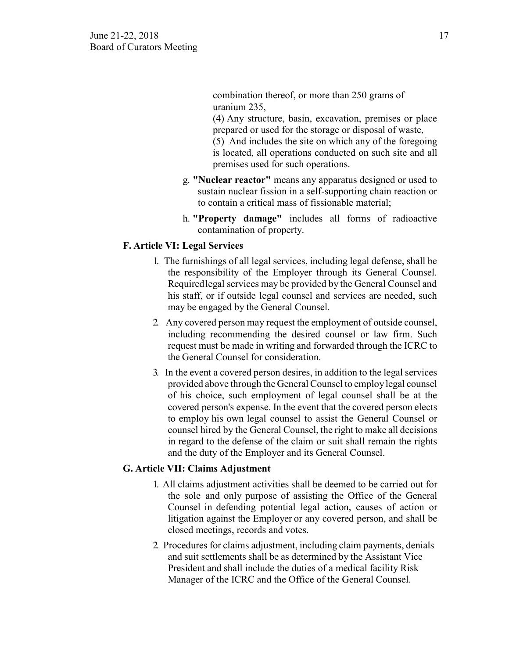combination thereof, or more than 250 grams of uranium 235,

(4) Any structure, basin, excavation, premises or place prepared or used for the storage or disposal of waste,

(5) And includes the site on which any of the foregoing is located, all operations conducted on such site and all premises used for such operations.

- g. **"Nuclear reactor"** means any apparatus designed or used to sustain nuclear fission in a self-supporting chain reaction or to contain a critical mass of fissionable material;
- h. **"Property damage"** includes all forms of radioactive contamination of property.

## **F. Article VI: Legal Services**

- 1. The furnishings of all legal services, including legal defense, shall be the responsibility of the Employer through its General Counsel. Requiredlegal services may be provided by the General Counsel and his staff, or if outside legal counsel and services are needed, such may be engaged by the General Counsel.
- 2. Any covered person may request the employment of outside counsel, including recommending the desired counsel or law firm. Such request must be made in writing and forwarded through the ICRC to the General Counsel for consideration.
- 3. In the event a covered person desires, in addition to the legal services provided above through the General Counsel to employ legal counsel of his choice, such employment of legal counsel shall be at the covered person's expense. In the event that the covered person elects to employ his own legal counsel to assist the General Counsel or counsel hired by the General Counsel, the right to make all decisions in regard to the defense of the claim or suit shall remain the rights and the duty of the Employer and its General Counsel.

## **G. Article VII: Claims Adjustment**

- 1. All claims adjustment activities shall be deemed to be carried out for the sole and only purpose of assisting the Office of the General Counsel in defending potential legal action, causes of action or litigation against the Employer or any covered person, and shall be closed meetings, records and votes.
- 2. Procedures for claims adjustment, including claim payments, denials and suit settlements shall be as determined by the Assistant Vice President and shall include the duties of a medical facility Risk Manager of the ICRC and the Office of the General Counsel.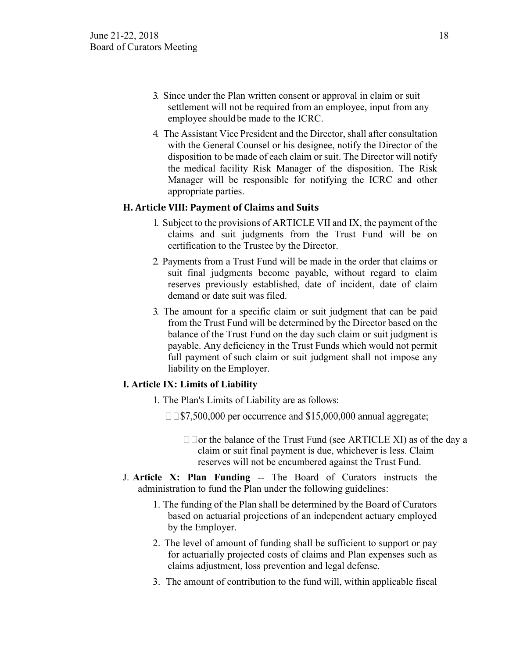- 3. Since under the Plan written consent or approval in claim or suit settlement will not be required from an employee, input from any employee shouldbe made to the ICRC.
- 4. The Assistant Vice President and the Director, shall after consultation with the General Counsel or his designee, notify the Director of the disposition to be made of each claim or suit. The Director will notify the medical facility Risk Manager of the disposition. The Risk Manager will be responsible for notifying the ICRC and other appropriate parties.

## **H. Article VIII: Payment of Claims and Suits**

- 1. Subject to the provisions of ARTICLE VII and IX, the payment of the claims and suit judgments from the Trust Fund will be on certification to the Trustee by the Director.
- 2. Payments from a Trust Fund will be made in the order that claims or suit final judgments become payable, without regard to claim reserves previously established, date of incident, date of claim demand or date suit was filed.
- 3. The amount for a specific claim or suit judgment that can be paid from the Trust Fund will be determined by the Director based on the balance of the Trust Fund on the day such claim or suit judgment is payable. Any deficiency in the Trust Funds which would not permit full payment of such claim or suit judgment shall not impose any liability on the Employer.

## **I. Article IX: Limits of Liability**

- 1. The Plan's Limits of Liability are as follows:
	- $\square$  \mothersum 315,000,000 annual aggregate;
		- $\Box$   $\Box$  or the balance of the Trust Fund (see ARTICLE XI) as of the day a claim or suit final payment is due, whichever is less. Claim reserves will not be encumbered against the Trust Fund.
- J. **Article X: Plan Funding** -- The Board of Curators instructs the administration to fund the Plan under the following guidelines:
	- 1. The funding of the Plan shall be determined by the Board of Curators based on actuarial projections of an independent actuary employed by the Employer.
	- 2. The level of amount of funding shall be sufficient to support or pay for actuarially projected costs of claims and Plan expenses such as claims adjustment, loss prevention and legal defense.
	- 3. The amount of contribution to the fund will, within applicable fiscal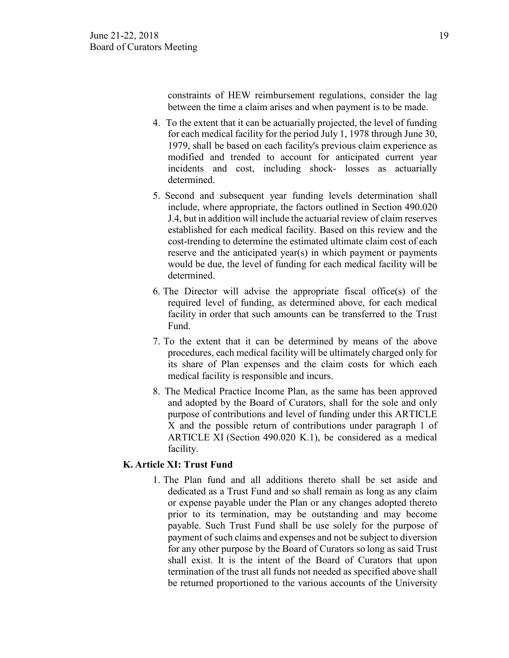constraints of HEW reimbursement regulations, consider the lag between the time a claim arises and when payment is to be made.

- 4. To the extent that it can be actuarially projected, the level of funding for each medical facility for the period July 1, 1978 through June 30, 1979, shall be based on each facility's previous claim experience as modified and trended to account for anticipated current year incidents and cost, including shock- losses as actuarially determined.
- 5. Second and subsequent year funding levels determination shall include, where appropriate, the factors outlined in Section 490.020 J.4, but in addition will include the actuarial review of claim reserves established for each medical facility. Based on this review and the cost-trending to determine the estimated ultimate claim cost of each reserve and the anticipated year(s) in which payment or payments would be due, the level of funding for each medical facility will be determined.
- 6. The Director will advise the appropriate fiscal office(s) of the required level of funding, as determined above, for each medical facility in order that such amounts can be transferred to the Trust Fund.
- 7. To the extent that it can be determined by means of the above procedures, each medical facility will be ultimately charged only for its share of Plan expenses and the claim costs for which each medical facility is responsible and incurs.
- 8. The Medical Practice Income Plan, as the same has been approved and adopted by the Board of Curators, shall for the sole and only purpose of contributions and level of funding under this ARTICLE X and the possible return of contributions under paragraph 1 of ARTICLE XI (Section 490.020 K.1), be considered as a medical facility.

## **K. Article XI: Trust Fund**

1. The Plan fund and all additions thereto shall be set aside and dedicated as a Trust Fund and so shall remain as long as any claim or expense payable under the Plan or any changes adopted thereto prior to its termination, may be outstanding and may become payable. Such Trust Fund shall be use solely for the purpose of payment of such claims and expenses and not be subject to diversion for any other purpose by the Board of Curators so long as said Trust shall exist. It is the intent of the Board of Curators that upon termination of the trust all funds not needed as specified above shall be returned proportioned to the various accounts of the University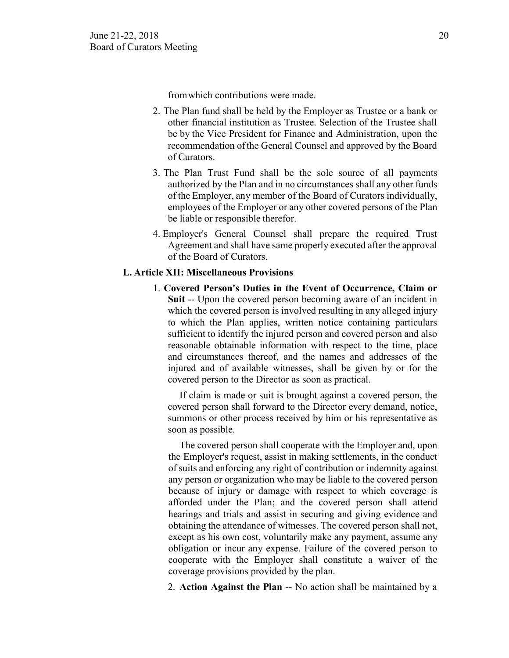fromwhich contributions were made.

- 2. The Plan fund shall be held by the Employer as Trustee or a bank or other financial institution as Trustee. Selection of the Trustee shall be by the Vice President for Finance and Administration, upon the recommendation ofthe General Counsel and approved by the Board of Curators.
- 3. The Plan Trust Fund shall be the sole source of all payments authorized by the Plan and in no circumstances shall any other funds of the Employer, any member of the Board of Curators individually, employees of the Employer or any other covered persons of the Plan be liable or responsible therefor.
- 4. Employer's General Counsel shall prepare the required Trust Agreement and shall have same properly executed after the approval of the Board of Curators.

#### **L. Article XII: Miscellaneous Provisions**

1. **Covered Person's Duties in the Event of Occurrence, Claim or Suit** -- Upon the covered person becoming aware of an incident in which the covered person is involved resulting in any alleged injury to which the Plan applies, written notice containing particulars sufficient to identify the injured person and covered person and also reasonable obtainable information with respect to the time, place and circumstances thereof, and the names and addresses of the injured and of available witnesses, shall be given by or for the covered person to the Director as soon as practical.

If claim is made or suit is brought against a covered person, the covered person shall forward to the Director every demand, notice, summons or other process received by him or his representative as soon as possible.

The covered person shall cooperate with the Employer and, upon the Employer's request, assist in making settlements, in the conduct of suits and enforcing any right of contribution or indemnity against any person or organization who may be liable to the covered person because of injury or damage with respect to which coverage is afforded under the Plan; and the covered person shall attend hearings and trials and assist in securing and giving evidence and obtaining the attendance of witnesses. The covered person shall not, except as his own cost, voluntarily make any payment, assume any obligation or incur any expense. Failure of the covered person to cooperate with the Employer shall constitute a waiver of the coverage provisions provided by the plan.

2. **Action Against the Plan** -- No action shall be maintained by a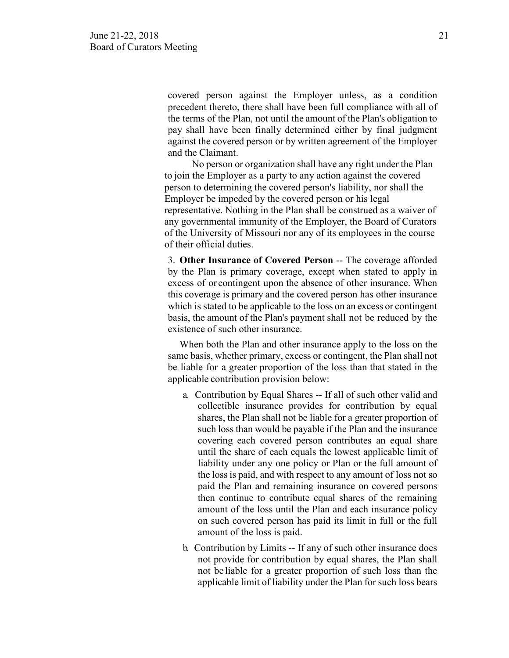covered person against the Employer unless, as a condition precedent thereto, there shall have been full compliance with all of the terms of the Plan, not until the amount of the Plan's obligation to pay shall have been finally determined either by final judgment against the covered person or by written agreement of the Employer and the Claimant.

No person or organization shall have any right under the Plan to join the Employer as a party to any action against the covered person to determining the covered person's liability, nor shall the Employer be impeded by the covered person or his legal representative. Nothing in the Plan shall be construed as a waiver of any governmental immunity of the Employer, the Board of Curators of the University of Missouri nor any of its employees in the course of their official duties.

3. **Other Insurance of Covered Person** -- The coverage afforded by the Plan is primary coverage, except when stated to apply in excess of or contingent upon the absence of other insurance. When this coverage is primary and the covered person has other insurance which is stated to be applicable to the loss on an excess or contingent basis, the amount of the Plan's payment shall not be reduced by the existence of such other insurance.

When both the Plan and other insurance apply to the loss on the same basis, whether primary, excess or contingent, the Plan shall not be liable for a greater proportion of the loss than that stated in the applicable contribution provision below:

- a. Contribution by Equal Shares -- If all of such other valid and collectible insurance provides for contribution by equal shares, the Plan shall not be liable for a greater proportion of such loss than would be payable if the Plan and the insurance covering each covered person contributes an equal share until the share of each equals the lowest applicable limit of liability under any one policy or Plan or the full amount of the loss is paid, and with respect to any amount of loss not so paid the Plan and remaining insurance on covered persons then continue to contribute equal shares of the remaining amount of the loss until the Plan and each insurance policy on such covered person has paid its limit in full or the full amount of the loss is paid.
- b. Contribution by Limits -- If any of such other insurance does not provide for contribution by equal shares, the Plan shall not be liable for a greater proportion of such loss than the applicable limit of liability under the Plan for such loss bears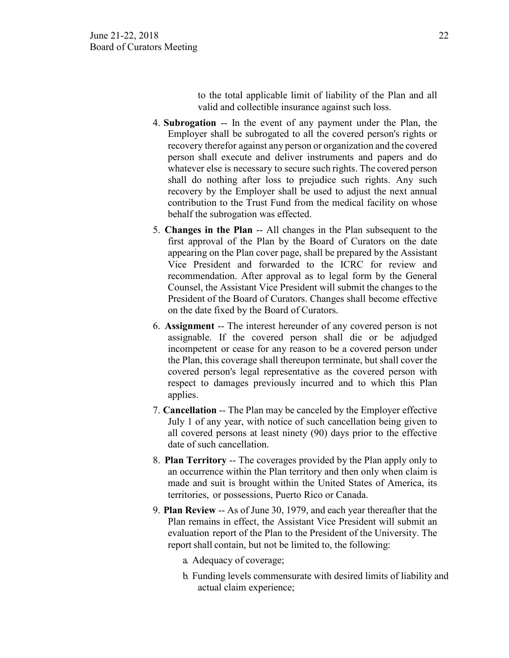to the total applicable limit of liability of the Plan and all valid and collectible insurance against such loss.

- 4. **Subrogation** -- In the event of any payment under the Plan, the Employer shall be subrogated to all the covered person's rights or recovery therefor against any person or organization and the covered person shall execute and deliver instruments and papers and do whatever else is necessary to secure such rights. The covered person shall do nothing after loss to prejudice such rights. Any such recovery by the Employer shall be used to adjust the next annual contribution to the Trust Fund from the medical facility on whose behalf the subrogation was effected.
- 5. **Changes in the Plan** -- All changes in the Plan subsequent to the first approval of the Plan by the Board of Curators on the date appearing on the Plan cover page, shall be prepared by the Assistant Vice President and forwarded to the ICRC for review and recommendation. After approval as to legal form by the General Counsel, the Assistant Vice President will submit the changes to the President of the Board of Curators. Changes shall become effective on the date fixed by the Board of Curators.
- 6. **Assignment** -- The interest hereunder of any covered person is not assignable. If the covered person shall die or be adjudged incompetent or cease for any reason to be a covered person under the Plan, this coverage shall thereupon terminate, but shall cover the covered person's legal representative as the covered person with respect to damages previously incurred and to which this Plan applies.
- 7. **Cancellation** -- The Plan may be canceled by the Employer effective July 1 of any year, with notice of such cancellation being given to all covered persons at least ninety (90) days prior to the effective date of such cancellation.
- 8. **Plan Territory** -- The coverages provided by the Plan apply only to an occurrence within the Plan territory and then only when claim is made and suit is brought within the United States of America, its territories, or possessions, Puerto Rico or Canada.
- 9. **Plan Review** -- As of June 30, 1979, and each year thereafter that the Plan remains in effect, the Assistant Vice President will submit an evaluation report of the Plan to the President of the University. The report shall contain, but not be limited to, the following:
	- a. Adequacy of coverage;
	- b. Funding levels commensurate with desired limits of liability and actual claim experience;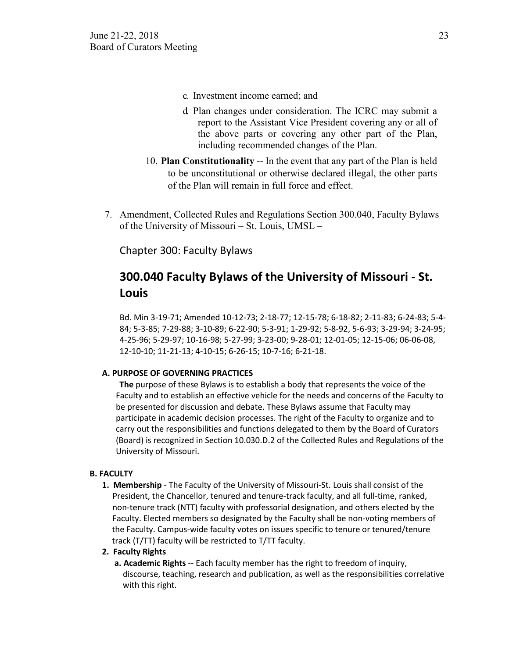- c. Investment income earned; and
- d. Plan changes under consideration. The ICRC may submit a report to the Assistant Vice President covering any or all of the above parts or covering any other part of the Plan, including recommended changes of the Plan.
- 10. **Plan Constitutionality** -- In the event that any part of the Plan is held to be unconstitutional or otherwise declared illegal, the other parts of the Plan will remain in full force and effect.
- 7. Amendment, Collected Rules and Regulations Section 300.040, Faculty Bylaws of the University of Missouri – St. Louis, UMSL –

Chapter 300: Faculty Bylaws

# **300.040 Faculty Bylaws of the University of Missouri - St. Louis**

Bd. Min 3-19-71; Amended 10-12-73; 2-18-77; 12-15-78; 6-18-82; 2-11-83; 6-24-83; 5-4- 84; 5-3-85; 7-29-88; 3-10-89; 6-22-90; 5-3-91; 1-29-92; 5-8-92, 5-6-93; 3-29-94; 3-24-95; 4-25-96; 5-29-97; 10-16-98; 5-27-99; 3-23-00; 9-28-01; 12-01-05; 12-15-06; 06-06-08, 12-10-10; 11-21-13; 4-10-15; 6-26-15; 10-7-16; 6-21-18.

#### **A. PURPOSE OF GOVERNING PRACTICES**

**The** purpose of these Bylaws is to establish a body that represents the voice of the Faculty and to establish an effective vehicle for the needs and concerns of the Faculty to be presented for discussion and debate. These Bylaws assume that Faculty may participate in academic decision processes. The right of the Faculty to organize and to carry out the responsibilities and functions delegated to them by the Board of Curators (Board) is recognized in Section 10.030.D.2 of the Collected Rules and Regulations of the University of Missouri.

## **B. FACULTY**

**1. Membership** - The Faculty of the University of Missouri-St. Louis shall consist of the President, the Chancellor, tenured and tenure-track faculty, and all full-time, ranked, non-tenure track (NTT) faculty with professorial designation, and others elected by the Faculty. Elected members so designated by the Faculty shall be non-voting members of the Faculty. Campus-wide faculty votes on issues specific to tenure or tenured/tenure track (T/TT) faculty will be restricted to T/TT faculty.

#### **2. Faculty Rights**

**a. Academic Rights** -- Each faculty member has the right to freedom of inquiry, discourse, teaching, research and publication, as well as the responsibilities correlative with this right.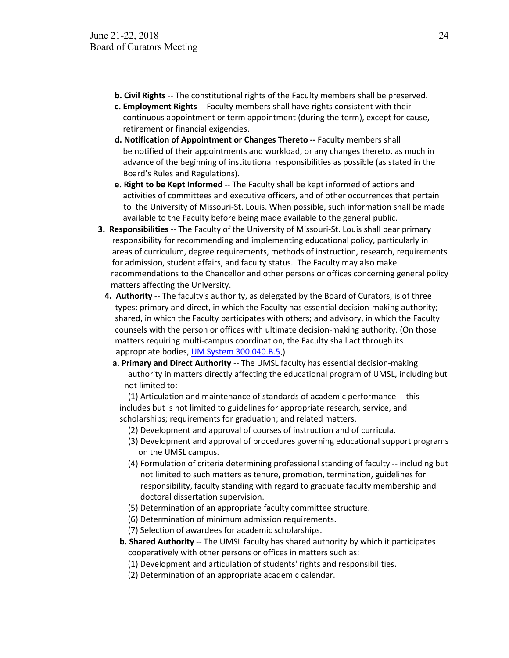- **b. Civil Rights** -- The constitutional rights of the Faculty members shall be preserved.
- **c. Employment Rights** -- Faculty members shall have rights consistent with their continuous appointment or term appointment (during the term), except for cause, retirement or financial exigencies.
- **d. Notification of Appointment or Changes Thereto --** Faculty members shall be notified of their appointments and workload, or any changes thereto, as much in advance of the beginning of institutional responsibilities as possible (as stated in the Board's Rules and Regulations).
- **e. Right to be Kept Informed** -- The Faculty shall be kept informed of actions and activities of committees and executive officers, and of other occurrences that pertain to the University of Missouri-St. Louis. When possible, such information shall be made available to the Faculty before being made available to the general public.
- **3. Responsibilities** -- The Faculty of the University of Missouri-St. Louis shall bear primary responsibility for recommending and implementing educational policy, particularly in areas of curriculum, degree requirements, methods of instruction, research, requirements for admission, student affairs, and faculty status. The Faculty may also make recommendations to the Chancellor and other persons or offices concerning general policy matters affecting the University.
	- **4. Authority** -- The faculty's authority, as delegated by the Board of Curators, is of three types: primary and direct, in which the Faculty has essential decision-making authority; shared, in which the Faculty participates with others; and advisory, in which the Faculty counsels with the person or offices with ultimate decision-making authority. (On those matters requiring multi-campus coordination, the Faculty shall act through its appropriate bodies, UM System 300.040.B.5.)
		- **a. Primary and Direct Authority** -- The UMSL faculty has essential decision-making authority in matters directly affecting the educational program of UMSL, including but not limited to:

 (1) Articulation and maintenance of standards of academic performance -- this includes but is not limited to guidelines for appropriate research, service, and scholarships; requirements for graduation; and related matters.

- (2) Development and approval of courses of instruction and of curricula.
- (3) Development and approval of procedures governing educational support programs on the UMSL campus.
- (4) Formulation of criteria determining professional standing of faculty -- including but not limited to such matters as tenure, promotion, termination, guidelines for responsibility, faculty standing with regard to graduate faculty membership and doctoral dissertation supervision.
- (5) Determination of an appropriate faculty committee structure.
- (6) Determination of minimum admission requirements.
- (7) Selection of awardees for academic scholarships.
- **b. Shared Authority** -- The UMSL faculty has shared authority by which it participates cooperatively with other persons or offices in matters such as:
	- (1) Development and articulation of students' rights and responsibilities.
	- (2) Determination of an appropriate academic calendar.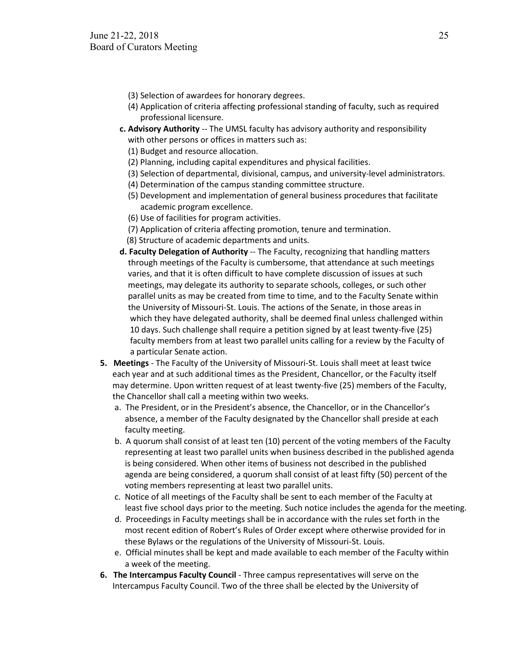- (3) Selection of awardees for honorary degrees.
- (4) Application of criteria affecting professional standing of faculty, such as required professional licensure.
- **c. Advisory Authority** -- The UMSL faculty has advisory authority and responsibility with other persons or offices in matters such as:
	- (1) Budget and resource allocation.
	- (2) Planning, including capital expenditures and physical facilities.
	- (3) Selection of departmental, divisional, campus, and university-level administrators.
	- (4) Determination of the campus standing committee structure.
	- (5) Development and implementation of general business procedures that facilitate academic program excellence.
	- (6) Use of facilities for program activities.
	- (7) Application of criteria affecting promotion, tenure and termination.
	- (8) Structure of academic departments and units.
- **d. Faculty Delegation of Authority** -- The Faculty, recognizing that handling matters through meetings of the Faculty is cumbersome, that attendance at such meetings varies, and that it is often difficult to have complete discussion of issues at such meetings, may delegate its authority to separate schools, colleges, or such other parallel units as may be created from time to time, and to the Faculty Senate within the University of Missouri-St. Louis. The actions of the Senate, in those areas in which they have delegated authority, shall be deemed final unless challenged within 10 days. Such challenge shall require a petition signed by at least twenty-five (25) faculty members from at least two parallel units calling for a review by the Faculty of a particular Senate action.
- **5. Meetings** The Faculty of the University of Missouri-St. Louis shall meet at least twice each year and at such additional times as the President, Chancellor, or the Faculty itself may determine. Upon written request of at least twenty-five (25) members of the Faculty, the Chancellor shall call a meeting within two weeks.
	- a. The President, or in the President's absence, the Chancellor, or in the Chancellor's absence, a member of the Faculty designated by the Chancellor shall preside at each faculty meeting.
	- b. A quorum shall consist of at least ten (10) percent of the voting members of the Faculty representing at least two parallel units when business described in the published agenda is being considered. When other items of business not described in the published agenda are being considered, a quorum shall consist of at least fifty (50) percent of the voting members representing at least two parallel units.
	- c. Notice of all meetings of the Faculty shall be sent to each member of the Faculty at least five school days prior to the meeting. Such notice includes the agenda for the meeting.
	- d. Proceedings in Faculty meetings shall be in accordance with the rules set forth in the most recent edition of Robert's Rules of Order except where otherwise provided for in these Bylaws or the regulations of the University of Missouri-St. Louis.
	- e. Official minutes shall be kept and made available to each member of the Faculty within a week of the meeting.
- **6. The Intercampus Faculty Council** Three campus representatives will serve on the Intercampus Faculty Council. Two of the three shall be elected by the University of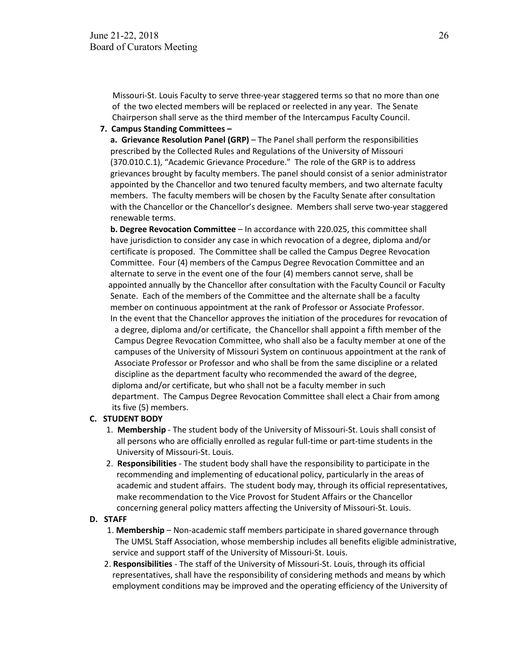Missouri-St. Louis Faculty to serve three-year staggered terms so that no more than one of the two elected members will be replaced or reelected in any year. The Senate Chairperson shall serve as the third member of the Intercampus Faculty Council.

 **7. Campus Standing Committees –**

 **a. Grievance Resolution Panel (GRP)** – The Panel shall perform the responsibilities prescribed by the Collected Rules and Regulations of the University of Missouri (370.010.C.1), "Academic Grievance Procedure." The role of the GRP is to address grievances brought by faculty members. The panel should consist of a senior administrator appointed by the Chancellor and two tenured faculty members, and two alternate faculty members. The faculty members will be chosen by the Faculty Senate after consultation with the Chancellor or the Chancellor's designee. Members shall serve two-year staggered renewable terms.

 **b. Degree Revocation Committee** – In accordance with 220.025, this committee shall have jurisdiction to consider any case in which revocation of a degree, diploma and/or certificate is proposed. The Committee shall be called the Campus Degree Revocation Committee. Four (4) members of the Campus Degree Revocation Committee and an alternate to serve in the event one of the four (4) members cannot serve, shall be appointed annually by the Chancellor after consultation with the Faculty Council or Faculty Senate. Each of the members of the Committee and the alternate shall be a faculty member on continuous appointment at the rank of Professor or Associate Professor. In the event that the Chancellor approves the initiation of the procedures for revocation of a degree, diploma and/or certificate, the Chancellor shall appoint a fifth member of the Campus Degree Revocation Committee, who shall also be a faculty member at one of the campuses of the University of Missouri System on continuous appointment at the rank of Associate Professor or Professor and who shall be from the same discipline or a related discipline as the department faculty who recommended the award of the degree, diploma and/or certificate, but who shall not be a faculty member in such department. The Campus Degree Revocation Committee shall elect a Chair from among its five (5) members.

#### **C. STUDENT BODY**

- 1. **Membership** The student body of the University of Missouri-St. Louis shall consist of all persons who are officially enrolled as regular full-time or part-time students in the University of Missouri-St. Louis.
- 2. **Responsibilities** The student body shall have the responsibility to participate in the recommending and implementing of educational policy, particularly in the areas of academic and student affairs. The student body may, through its official representatives, make recommendation to the Vice Provost for Student Affairs or the Chancellor concerning general policy matters affecting the University of Missouri-St. Louis.

#### **D. STAFF**

- 1. **Membership** Non-academic staff members participate in shared governance through The UMSL Staff Association, whose membership includes all benefits eligible administrative, service and support staff of the University of Missouri-St. Louis.
- 2. **Responsibilities** The staff of the University of Missouri-St. Louis, through its official representatives, shall have the responsibility of considering methods and means by which employment conditions may be improved and the operating efficiency of the University of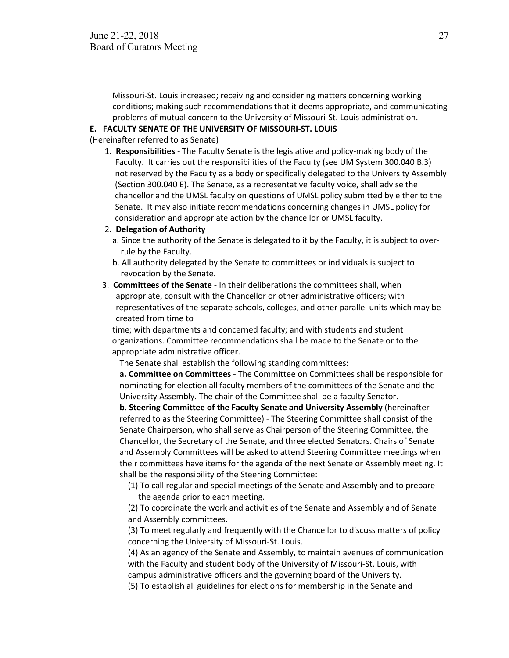Missouri-St. Louis increased; receiving and considering matters concerning working conditions; making such recommendations that it deems appropriate, and communicating problems of mutual concern to the University of Missouri-St. Louis administration.

#### **E. FACULTY SENATE OF THE UNIVERSITY OF MISSOURI-ST. LOUIS**

(Hereinafter referred to as Senate)

1. **Responsibilities** - The Faculty Senate is the legislative and policy-making body of the Faculty. It carries out the responsibilities of the Faculty (see UM System 300.040 B.3) not reserved by the Faculty as a body or specifically delegated to the University Assembly (Section 300.040 E). The Senate, as a representative faculty voice, shall advise the chancellor and the UMSL faculty on questions of UMSL policy submitted by either to the Senate. It may also initiate recommendations concerning changes in UMSL policy for consideration and appropriate action by the chancellor or UMSL faculty.

#### 2. **Delegation of Authority**

- a. Since the authority of the Senate is delegated to it by the Faculty, it is subject to over rule by the Faculty.
- b. All authority delegated by the Senate to committees or individuals is subject to revocation by the Senate.
- 3. **Committees of the Senate** In their deliberations the committees shall, when appropriate, consult with the Chancellor or other administrative officers; with representatives of the separate schools, colleges, and other parallel units which may be created from time to

 time; with departments and concerned faculty; and with students and student organizations. Committee recommendations shall be made to the Senate or to the appropriate administrative officer.

The Senate shall establish the following standing committees:

**a. Committee on Committees** - The Committee on Committees shall be responsible for nominating for election all faculty members of the committees of the Senate and the University Assembly. The chair of the Committee shall be a faculty Senator.

**b. Steering Committee of the Faculty Senate and University Assembly** (hereinafter referred to as the Steering Committee) - The Steering Committee shall consist of the Senate Chairperson, who shall serve as Chairperson of the Steering Committee, the Chancellor, the Secretary of the Senate, and three elected Senators. Chairs of Senate and Assembly Committees will be asked to attend Steering Committee meetings when their committees have items for the agenda of the next Senate or Assembly meeting. It shall be the responsibility of the Steering Committee:

 (1) To call regular and special meetings of the Senate and Assembly and to prepare the agenda prior to each meeting.

 (2) To coordinate the work and activities of the Senate and Assembly and of Senate and Assembly committees.

 (3) To meet regularly and frequently with the Chancellor to discuss matters of policy concerning the University of Missouri-St. Louis.

 (4) As an agency of the Senate and Assembly, to maintain avenues of communication with the Faculty and student body of the University of Missouri-St. Louis, with campus administrative officers and the governing board of the University.

(5) To establish all guidelines for elections for membership in the Senate and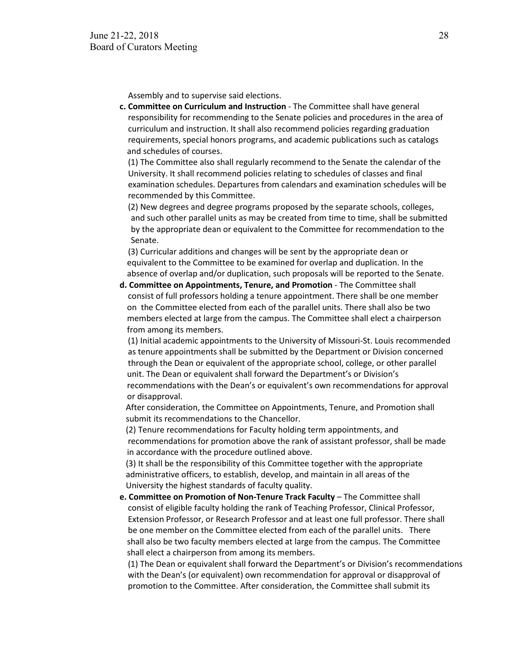Assembly and to supervise said elections.

**c. Committee on Curriculum and Instruction** - The Committee shall have general responsibility for recommending to the Senate policies and procedures in the area of curriculum and instruction. It shall also recommend policies regarding graduation requirements, special honors programs, and academic publications such as catalogs and schedules of courses.

 (1) The Committee also shall regularly recommend to the Senate the calendar of the University. It shall recommend policies relating to schedules of classes and final examination schedules. Departures from calendars and examination schedules will be recommended by this Committee.

 (2) New degrees and degree programs proposed by the separate schools, colleges, and such other parallel units as may be created from time to time, shall be submitted by the appropriate dean or equivalent to the Committee for recommendation to the Senate.

 (3) Curricular additions and changes will be sent by the appropriate dean or equivalent to the Committee to be examined for overlap and duplication. In the absence of overlap and/or duplication, such proposals will be reported to the Senate.

**d. Committee on Appointments, Tenure, and Promotion** - The Committee shall consist of full professors holding a tenure appointment. There shall be one member on the Committee elected from each of the parallel units. There shall also be two members elected at large from the campus. The Committee shall elect a chairperson from among its members.

 (1) Initial academic appointments to the University of Missouri-St. Louis recommended as tenure appointments shall be submitted by the Department or Division concerned through the Dean or equivalent of the appropriate school, college, or other parallel unit. The Dean or equivalent shall forward the Department's or Division's recommendations with the Dean's or equivalent's own recommendations for approval or disapproval.

After consideration, the Committee on Appointments, Tenure, and Promotion shall submit its recommendations to the Chancellor.

 (2) Tenure recommendations for Faculty holding term appointments, and recommendations for promotion above the rank of assistant professor, shall be made in accordance with the procedure outlined above.

 (3) It shall be the responsibility of this Committee together with the appropriate administrative officers, to establish, develop, and maintain in all areas of the University the highest standards of faculty quality.

**e. Committee on Promotion of Non-Tenure Track Faculty** – The Committee shall consist of eligible faculty holding the rank of Teaching Professor, Clinical Professor, Extension Professor, or Research Professor and at least one full professor. There shall be one member on the Committee elected from each of the parallel units. There shall also be two faculty members elected at large from the campus. The Committee shall elect a chairperson from among its members.

 (1) The Dean or equivalent shall forward the Department's or Division's recommendations with the Dean's (or equivalent) own recommendation for approval or disapproval of promotion to the Committee. After consideration, the Committee shall submit its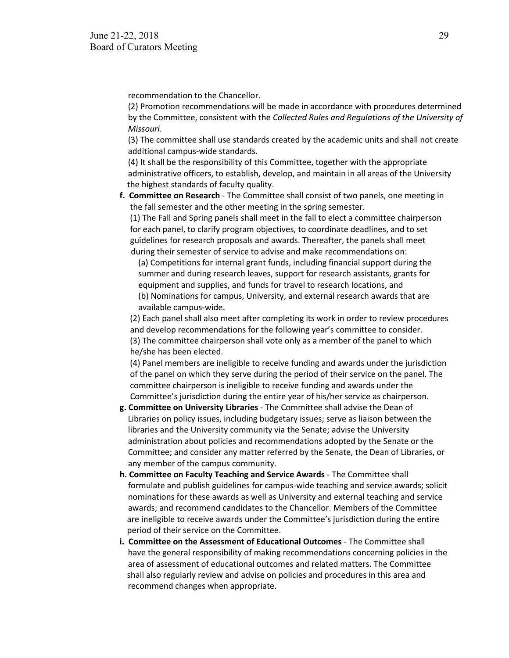recommendation to the Chancellor.

 (2) Promotion recommendations will be made in accordance with procedures determined by the Committee, consistent with the *Collected Rules and Regulations of the University of Missouri*.

 (3) The committee shall use standards created by the academic units and shall not create additional campus-wide standards.

 (4) It shall be the responsibility of this Committee, together with the appropriate administrative officers, to establish, develop, and maintain in all areas of the University the highest standards of faculty quality.

**f. Committee on Research** - The Committee shall consist of two panels, one meeting in the fall semester and the other meeting in the spring semester.

 (1) The Fall and Spring panels shall meet in the fall to elect a committee chairperson for each panel, to clarify program objectives, to coordinate deadlines, and to set guidelines for research proposals and awards. Thereafter, the panels shall meet during their semester of service to advise and make recommendations on:

 (a) Competitions for internal grant funds, including financial support during the summer and during research leaves, support for research assistants, grants for equipment and supplies, and funds for travel to research locations, and (b) Nominations for campus, University, and external research awards that are available campus-wide.

 (2) Each panel shall also meet after completing its work in order to review procedures and develop recommendations for the following year's committee to consider. (3) The committee chairperson shall vote only as a member of the panel to which he/she has been elected.

 (4) Panel members are ineligible to receive funding and awards under the jurisdiction of the panel on which they serve during the period of their service on the panel. The committee chairperson is ineligible to receive funding and awards under the Committee's jurisdiction during the entire year of his/her service as chairperson.

- **g. Committee on University Libraries**  The Committee shall advise the Dean of Libraries on policy issues, including budgetary issues; serve as liaison between the libraries and the University community via the Senate; advise the University administration about policies and recommendations adopted by the Senate or the Committee; and consider any matter referred by the Senate, the Dean of Libraries, or any member of the campus community.
- **h. Committee on Faculty Teaching and Service Awards** The Committee shall formulate and publish guidelines for campus-wide teaching and service awards; solicit nominations for these awards as well as University and external teaching and service awards; and recommend candidates to the Chancellor. Members of the Committee are ineligible to receive awards under the Committee's jurisdiction during the entire period of their service on the Committee.
- **i. Committee on the Assessment of Educational Outcomes** The Committee shall have the general responsibility of making recommendations concerning policies in the area of assessment of educational outcomes and related matters. The Committee shall also regularly review and advise on policies and procedures in this area and recommend changes when appropriate.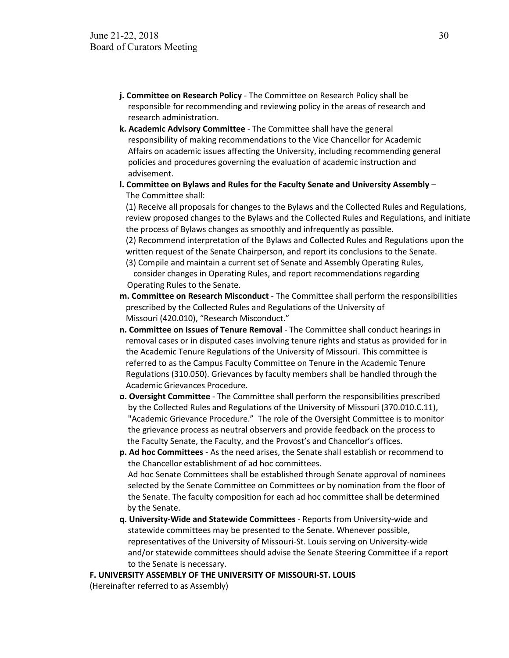- **j. Committee on Research Policy** The Committee on Research Policy shall be responsible for recommending and reviewing policy in the areas of research and research administration.
- **k. Academic Advisory Committee** The Committee shall have the general responsibility of making recommendations to the Vice Chancellor for Academic Affairs on academic issues affecting the University, including recommending general policies and procedures governing the evaluation of academic instruction and advisement.
- **l. Committee on Bylaws and Rules for the Faculty Senate and University Assembly** The Committee shall:

 (1) Receive all proposals for changes to the Bylaws and the Collected Rules and Regulations, review proposed changes to the Bylaws and the Collected Rules and Regulations, and initiate the process of Bylaws changes as smoothly and infrequently as possible.

 (2) Recommend interpretation of the Bylaws and Collected Rules and Regulations upon the written request of the Senate Chairperson, and report its conclusions to the Senate.

 (3) Compile and maintain a current set of Senate and Assembly Operating Rules, consider changes in Operating Rules, and report recommendations regarding Operating Rules to the Senate.

- **m. Committee on Research Misconduct** The Committee shall perform the responsibilities prescribed by the Collected Rules and Regulations of the University of Missouri (420.010), "Research Misconduct."
- **n. Committee on Issues of Tenure Removal** The Committee shall conduct hearings in removal cases or in disputed cases involving tenure rights and status as provided for in the Academic Tenure Regulations of the University of Missouri. This committee is referred to as the Campus Faculty Committee on Tenure in the Academic Tenure Regulations (310.050). Grievances by faculty members shall be handled through the Academic Grievances Procedure.
- **o. Oversight Committee** The Committee shall perform the responsibilities prescribed by the Collected Rules and Regulations of the University of Missouri (370.010.C.11), "Academic Grievance Procedure." The role of the Oversight Committee is to monitor the grievance process as neutral observers and provide feedback on the process to the Faculty Senate, the Faculty, and the Provost's and Chancellor's offices.
- **p. Ad hoc Committees** As the need arises, the Senate shall establish or recommend to the Chancellor establishment of ad hoc committees. Ad hoc Senate Committees shall be established through Senate approval of nominees selected by the Senate Committee on Committees or by nomination from the floor of the Senate. The faculty composition for each ad hoc committee shall be determined by the Senate.
- **q. University-Wide and Statewide Committees** Reports from University-wide and statewide committees may be presented to the Senate. Whenever possible, representatives of the University of Missouri-St. Louis serving on University-wide and/or statewide committees should advise the Senate Steering Committee if a report to the Senate is necessary.

**F. UNIVERSITY ASSEMBLY OF THE UNIVERSITY OF MISSOURI-ST. LOUIS**

(Hereinafter referred to as Assembly)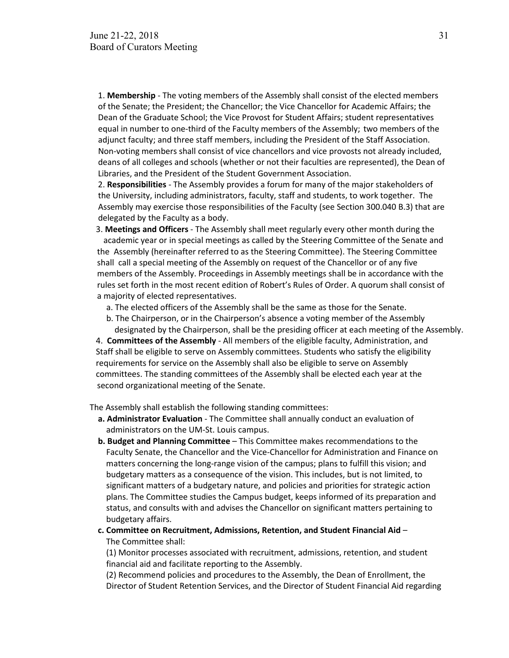1. **Membership** - The voting members of the Assembly shall consist of the elected members of the Senate; the President; the Chancellor; the Vice Chancellor for Academic Affairs; the Dean of the Graduate School; the Vice Provost for Student Affairs; student representatives equal in number to one-third of the Faculty members of the Assembly; two members of the adjunct faculty; and three staff members, including the President of the Staff Association. Non-voting members shall consist of vice chancellors and vice provosts not already included, deans of all colleges and schools (whether or not their faculties are represented), the Dean of Libraries, and the President of the Student Government Association.

 2. **Responsibilities** - The Assembly provides a forum for many of the major stakeholders of the University, including administrators, faculty, staff and students, to work together. The Assembly may exercise those responsibilities of the Faculty (see Section 300.040 B.3) that are delegated by the Faculty as a body.

- 3. **Meetings and Officers** The Assembly shall meet regularly every other month during the academic year or in special meetings as called by the Steering Committee of the Senate and the Assembly (hereinafter referred to as the Steering Committee). The Steering Committee shall call a special meeting of the Assembly on request of the Chancellor or of any five members of the Assembly. Proceedings in Assembly meetings shall be in accordance with the rules set forth in the most recent edition of Robert's Rules of Order. A quorum shall consist of a majority of elected representatives.
	- a. The elected officers of the Assembly shall be the same as those for the Senate.
	- b. The Chairperson, or in the Chairperson's absence a voting member of the Assembly designated by the Chairperson, shall be the presiding officer at each meeting of the Assembly.

 4. **Committees of the Assembly** - All members of the eligible faculty, Administration, and Staff shall be eligible to serve on Assembly committees. Students who satisfy the eligibility requirements for service on the Assembly shall also be eligible to serve on Assembly committees. The standing committees of the Assembly shall be elected each year at the second organizational meeting of the Senate.

The Assembly shall establish the following standing committees:

- **a. Administrator Evaluation** The Committee shall annually conduct an evaluation of administrators on the UM-St. Louis campus.
- **b. Budget and Planning Committee** This Committee makes recommendations to the Faculty Senate, the Chancellor and the Vice-Chancellor for Administration and Finance on matters concerning the long-range vision of the campus; plans to fulfill this vision; and budgetary matters as a consequence of the vision. This includes, but is not limited, to significant matters of a budgetary nature, and policies and priorities for strategic action plans. The Committee studies the Campus budget, keeps informed of its preparation and status, and consults with and advises the Chancellor on significant matters pertaining to budgetary affairs.

#### **c. Committee on Recruitment, Admissions, Retention, and Student Financial Aid** – The Committee shall:

 (1) Monitor processes associated with recruitment, admissions, retention, and student financial aid and facilitate reporting to the Assembly.

 (2) Recommend policies and procedures to the Assembly, the Dean of Enrollment, the Director of Student Retention Services, and the Director of Student Financial Aid regarding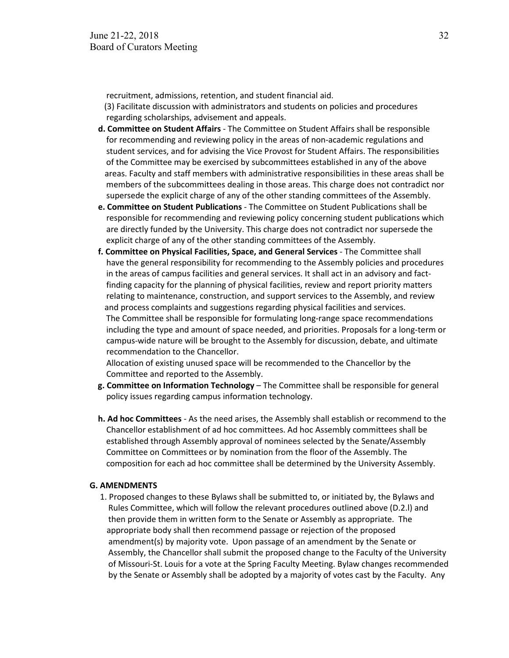recruitment, admissions, retention, and student financial aid.

 (3) Facilitate discussion with administrators and students on policies and procedures regarding scholarships, advisement and appeals.

- **d. Committee on Student Affairs** The Committee on Student Affairs shall be responsible for recommending and reviewing policy in the areas of non-academic regulations and student services, and for advising the Vice Provost for Student Affairs. The responsibilities of the Committee may be exercised by subcommittees established in any of the above areas. Faculty and staff members with administrative responsibilities in these areas shall be members of the subcommittees dealing in those areas. This charge does not contradict nor supersede the explicit charge of any of the other standing committees of the Assembly.
- **e. Committee on Student Publications** The Committee on Student Publications shall be responsible for recommending and reviewing policy concerning student publications which are directly funded by the University. This charge does not contradict nor supersede the explicit charge of any of the other standing committees of the Assembly.
- **f. Committee on Physical Facilities, Space, and General Services** The Committee shall have the general responsibility for recommending to the Assembly policies and procedures in the areas of campus facilities and general services. It shall act in an advisory and fact finding capacity for the planning of physical facilities, review and report priority matters relating to maintenance, construction, and support services to the Assembly, and review and process complaints and suggestions regarding physical facilities and services. The Committee shall be responsible for formulating long-range space recommendations including the type and amount of space needed, and priorities. Proposals for a long-term or campus-wide nature will be brought to the Assembly for discussion, debate, and ultimate recommendation to the Chancellor.

 Allocation of existing unused space will be recommended to the Chancellor by the Committee and reported to the Assembly.

- **g. Committee on Information Technology** The Committee shall be responsible for general policy issues regarding campus information technology.
- **h. Ad hoc Committees** As the need arises, the Assembly shall establish or recommend to the Chancellor establishment of ad hoc committees. Ad hoc Assembly committees shall be established through Assembly approval of nominees selected by the Senate/Assembly Committee on Committees or by nomination from the floor of the Assembly. The composition for each ad hoc committee shall be determined by the University Assembly.

#### **G. AMENDMENTS**

 1. Proposed changes to these Bylaws shall be submitted to, or initiated by, the Bylaws and Rules Committee, which will follow the relevant procedures outlined above (D.2.l) and then provide them in written form to the Senate or Assembly as appropriate. The appropriate body shall then recommend passage or rejection of the proposed amendment(s) by majority vote. Upon passage of an amendment by the Senate or Assembly, the Chancellor shall submit the proposed change to the Faculty of the University of Missouri-St. Louis for a vote at the Spring Faculty Meeting. Bylaw changes recommended by the Senate or Assembly shall be adopted by a majority of votes cast by the Faculty. Any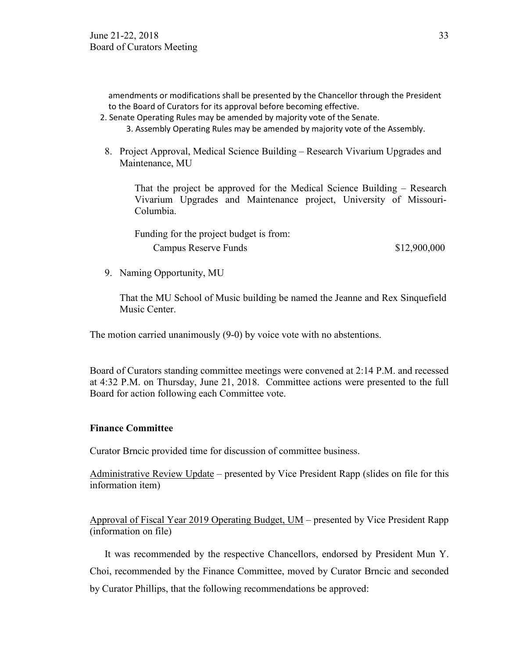amendments or modifications shall be presented by the Chancellor through the President to the Board of Curators for its approval before becoming effective.

2. Senate Operating Rules may be amended by majority vote of the Senate.

3. Assembly Operating Rules may be amended by majority vote of the Assembly.

8. Project Approval, Medical Science Building – Research Vivarium Upgrades and Maintenance, MU

That the project be approved for the Medical Science Building – Research Vivarium Upgrades and Maintenance project, University of Missouri-Columbia.

| Funding for the project budget is from: |              |
|-----------------------------------------|--------------|
| Campus Reserve Funds                    | \$12,900,000 |

9. Naming Opportunity, MU

That the MU School of Music building be named the Jeanne and Rex Sinquefield Music Center.

The motion carried unanimously (9-0) by voice vote with no abstentions.

Board of Curators standing committee meetings were convened at 2:14 P.M. and recessed at 4:32 P.M. on Thursday, June 21, 2018. Committee actions were presented to the full Board for action following each Committee vote.

## **Finance Committee**

Curator Brncic provided time for discussion of committee business.

Administrative Review Update – presented by Vice President Rapp (slides on file for this information item)

Approval of Fiscal Year 2019 Operating Budget, UM – presented by Vice President Rapp (information on file)

It was recommended by the respective Chancellors, endorsed by President Mun Y. Choi, recommended by the Finance Committee, moved by Curator Brncic and seconded by Curator Phillips, that the following recommendations be approved: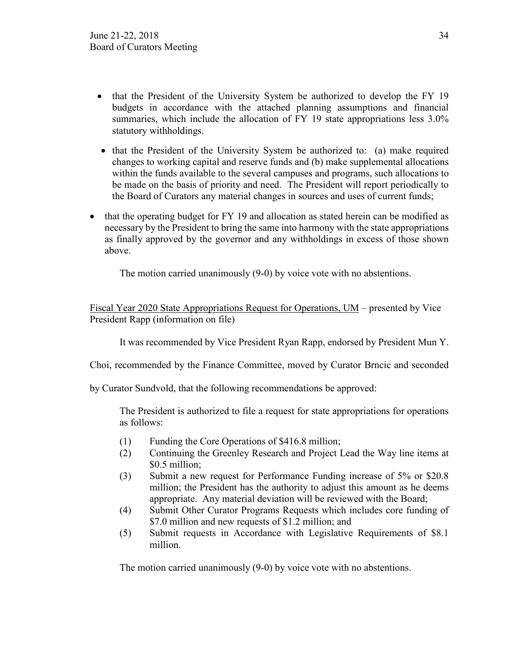- that the President of the University System be authorized to develop the FY 19 budgets in accordance with the attached planning assumptions and financial summaries, which include the allocation of FY 19 state appropriations less  $3.0\%$ statutory withholdings.
- that the President of the University System be authorized to: (a) make required changes to working capital and reserve funds and (b) make supplemental allocations within the funds available to the several campuses and programs, such allocations to be made on the basis of priority and need. The President will report periodically to the Board of Curators any material changes in sources and uses of current funds;
- that the operating budget for FY 19 and allocation as stated herein can be modified as necessary by the President to bring the same into harmony with the state appropriations as finally approved by the governor and any withholdings in excess of those shown above.

The motion carried unanimously (9-0) by voice vote with no abstentions.

Fiscal Year 2020 State Appropriations Request for Operations, UM – presented by Vice President Rapp (information on file)

It was recommended by Vice President Ryan Rapp, endorsed by President Mun Y.

Choi, recommended by the Finance Committee, moved by Curator Brncic and seconded

by Curator Sundvold, that the following recommendations be approved:

The President is authorized to file a request for state appropriations for operations as follows:

- (1) Funding the Core Operations of \$416.8 million;
- (2) Continuing the Greenley Research and Project Lead the Way line items at \$0.5 million;
- (3) Submit a new request for Performance Funding increase of 5% or \$20.8 million; the President has the authority to adjust this amount as he deems appropriate. Any material deviation will be reviewed with the Board;
- (4) Submit Other Curator Programs Requests which includes core funding of \$7.0 million and new requests of \$1.2 million; and
- (5) Submit requests in Accordance with Legislative Requirements of \$8.1 million.

The motion carried unanimously (9-0) by voice vote with no abstentions.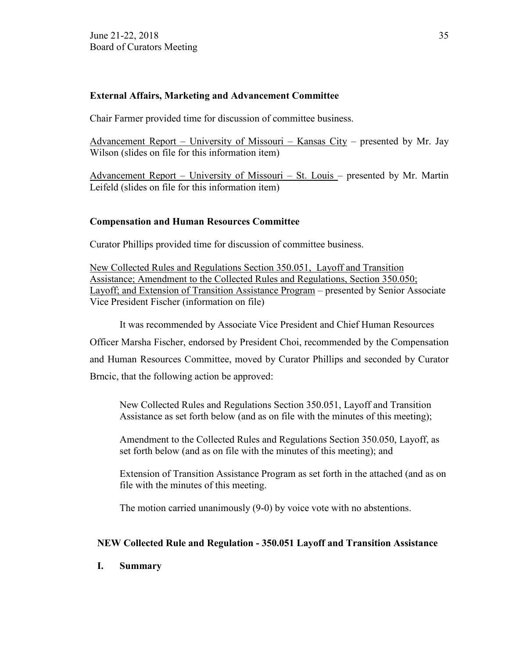## **External Affairs, Marketing and Advancement Committee**

Chair Farmer provided time for discussion of committee business.

Advancement Report – University of Missouri – Kansas City – presented by Mr. Jay Wilson (slides on file for this information item)

Advancement Report – University of Missouri – St. Louis – presented by Mr. Martin Leifeld (slides on file for this information item)

## **Compensation and Human Resources Committee**

Curator Phillips provided time for discussion of committee business.

New Collected Rules and Regulations Section 350.051, Layoff and Transition Assistance; Amendment to the Collected Rules and Regulations, Section 350.050; Layoff; and Extension of Transition Assistance Program – presented by Senior Associate Vice President Fischer (information on file)

It was recommended by Associate Vice President and Chief Human Resources Officer Marsha Fischer, endorsed by President Choi, recommended by the Compensation and Human Resources Committee, moved by Curator Phillips and seconded by Curator Brncic, that the following action be approved:

New Collected Rules and Regulations Section 350.051, Layoff and Transition Assistance as set forth below (and as on file with the minutes of this meeting);

Amendment to the Collected Rules and Regulations Section 350.050, Layoff, as set forth below (and as on file with the minutes of this meeting); and

Extension of Transition Assistance Program as set forth in the attached (and as on file with the minutes of this meeting.

The motion carried unanimously (9-0) by voice vote with no abstentions.

## **NEW Collected Rule and Regulation - 350.051 Layoff and Transition Assistance**

## **I. Summary**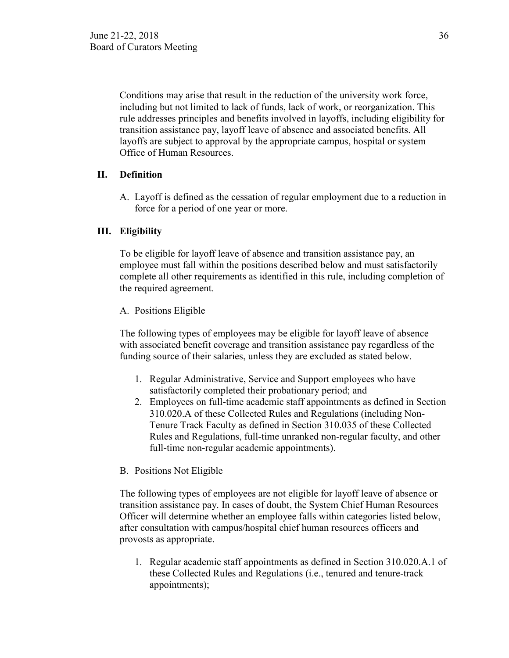Conditions may arise that result in the reduction of the university work force, including but not limited to lack of funds, lack of work, or reorganization. This rule addresses principles and benefits involved in layoffs, including eligibility for transition assistance pay, layoff leave of absence and associated benefits. All layoffs are subject to approval by the appropriate campus, hospital or system Office of Human Resources.

## **II. Definition**

A. Layoff is defined as the cessation of regular employment due to a reduction in force for a period of one year or more.

## **III. Eligibility**

To be eligible for layoff leave of absence and transition assistance pay, an employee must fall within the positions described below and must satisfactorily complete all other requirements as identified in this rule, including completion of the required agreement.

## A. Positions Eligible

The following types of employees may be eligible for layoff leave of absence with associated benefit coverage and transition assistance pay regardless of the funding source of their salaries, unless they are excluded as stated below.

- 1. Regular Administrative, Service and Support employees who have satisfactorily completed their probationary period; and
- 2. Employees on full-time academic staff appointments as defined in Section 310.020.A of these Collected Rules and Regulations (including Non-Tenure Track Faculty as defined in Section 310.035 of these Collected Rules and Regulations, full-time unranked non-regular faculty, and other full-time non-regular academic appointments).

## B. Positions Not Eligible

The following types of employees are not eligible for layoff leave of absence or transition assistance pay. In cases of doubt, the System Chief Human Resources Officer will determine whether an employee falls within categories listed below, after consultation with campus/hospital chief human resources officers and provosts as appropriate.

1. Regular academic staff appointments as defined in Section 310.020.A.1 of these Collected Rules and Regulations (i.e., tenured and tenure-track appointments);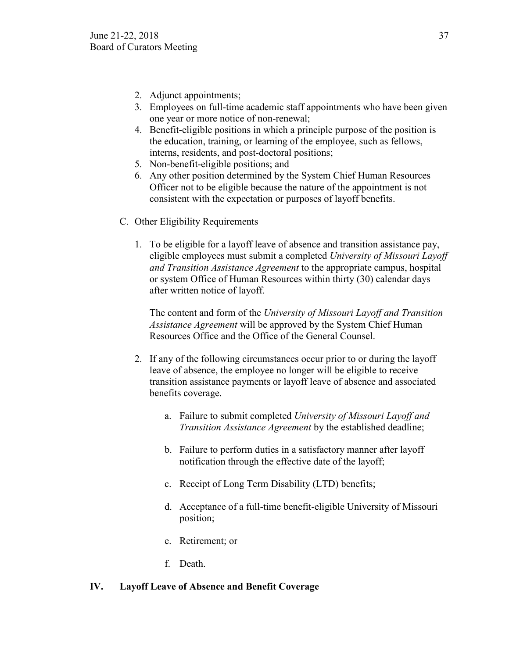- 2. Adjunct appointments;
- 3. Employees on full-time academic staff appointments who have been given one year or more notice of non-renewal;
- 4. Benefit-eligible positions in which a principle purpose of the position is the education, training, or learning of the employee, such as fellows, interns, residents, and post-doctoral positions;
- 5. Non-benefit-eligible positions; and
- 6. Any other position determined by the System Chief Human Resources Officer not to be eligible because the nature of the appointment is not consistent with the expectation or purposes of layoff benefits.
- C. Other Eligibility Requirements
	- 1. To be eligible for a layoff leave of absence and transition assistance pay, eligible employees must submit a completed *University of Missouri Layoff and Transition Assistance Agreement* to the appropriate campus, hospital or system Office of Human Resources within thirty (30) calendar days after written notice of layoff.

The content and form of the *University of Missouri Layoff and Transition Assistance Agreement* will be approved by the System Chief Human Resources Office and the Office of the General Counsel.

- 2. If any of the following circumstances occur prior to or during the layoff leave of absence, the employee no longer will be eligible to receive transition assistance payments or layoff leave of absence and associated benefits coverage.
	- a. Failure to submit completed *University of Missouri Layoff and Transition Assistance Agreement* by the established deadline;
	- b. Failure to perform duties in a satisfactory manner after layoff notification through the effective date of the layoff;
	- c. Receipt of Long Term Disability (LTD) benefits;
	- d. Acceptance of a full-time benefit-eligible University of Missouri position;
	- e. Retirement; or
	- f. Death.

## **IV. Layoff Leave of Absence and Benefit Coverage**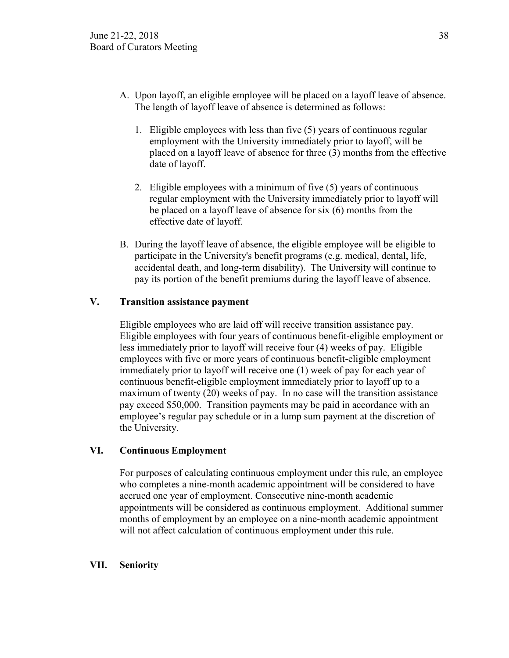- A. Upon layoff, an eligible employee will be placed on a layoff leave of absence. The length of layoff leave of absence is determined as follows:
	- 1. Eligible employees with less than five (5) years of continuous regular employment with the University immediately prior to layoff, will be placed on a layoff leave of absence for three (3) months from the effective date of layoff.
	- 2. Eligible employees with a minimum of five (5) years of continuous regular employment with the University immediately prior to layoff will be placed on a layoff leave of absence for six (6) months from the effective date of layoff.
- B. During the layoff leave of absence, the eligible employee will be eligible to participate in the University's benefit programs (e.g. medical, dental, life, accidental death, and long-term disability). The University will continue to pay its portion of the benefit premiums during the layoff leave of absence.

## **V. Transition assistance payment**

Eligible employees who are laid off will receive transition assistance pay. Eligible employees with four years of continuous benefit-eligible employment or less immediately prior to layoff will receive four (4) weeks of pay. Eligible employees with five or more years of continuous benefit-eligible employment immediately prior to layoff will receive one (1) week of pay for each year of continuous benefit-eligible employment immediately prior to layoff up to a maximum of twenty (20) weeks of pay. In no case will the transition assistance pay exceed \$50,000. Transition payments may be paid in accordance with an employee's regular pay schedule or in a lump sum payment at the discretion of the University.

## **VI. Continuous Employment**

For purposes of calculating continuous employment under this rule, an employee who completes a nine-month academic appointment will be considered to have accrued one year of employment. Consecutive nine-month academic appointments will be considered as continuous employment. Additional summer months of employment by an employee on a nine-month academic appointment will not affect calculation of continuous employment under this rule.

## **VII. Seniority**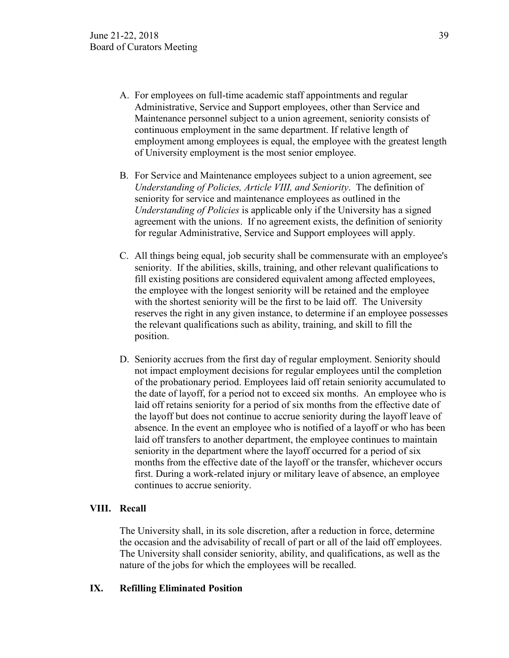- A. For employees on full-time academic staff appointments and regular Administrative, Service and Support employees, other than Service and Maintenance personnel subject to a union agreement, seniority consists of continuous employment in the same department. If relative length of employment among employees is equal, the employee with the greatest length of University employment is the most senior employee.
- B. For Service and Maintenance employees subject to a union agreement, see *Understanding of Policies, Article VIII, and Seniority*. The definition of seniority for service and maintenance employees as outlined in the *Understanding of Policies* is applicable only if the University has a signed agreement with the unions. If no agreement exists, the definition of seniority for regular Administrative, Service and Support employees will apply.
- C. All things being equal, job security shall be commensurate with an employee's seniority. If the abilities, skills, training, and other relevant qualifications to fill existing positions are considered equivalent among affected employees, the employee with the longest seniority will be retained and the employee with the shortest seniority will be the first to be laid off. The University reserves the right in any given instance, to determine if an employee possesses the relevant qualifications such as ability, training, and skill to fill the position.
- D. Seniority accrues from the first day of regular employment. Seniority should not impact employment decisions for regular employees until the completion of the probationary period. Employees laid off retain seniority accumulated to the date of layoff, for a period not to exceed six months. An employee who is laid off retains seniority for a period of six months from the effective date of the layoff but does not continue to accrue seniority during the layoff leave of absence. In the event an employee who is notified of a layoff or who has been laid off transfers to another department, the employee continues to maintain seniority in the department where the layoff occurred for a period of six months from the effective date of the layoff or the transfer, whichever occurs first. During a work-related injury or military leave of absence, an employee continues to accrue seniority.

## **VIII. Recall**

The University shall, in its sole discretion, after a reduction in force, determine the occasion and the advisability of recall of part or all of the laid off employees. The University shall consider seniority, ability, and qualifications, as well as the nature of the jobs for which the employees will be recalled.

#### **IX. Refilling Eliminated Position**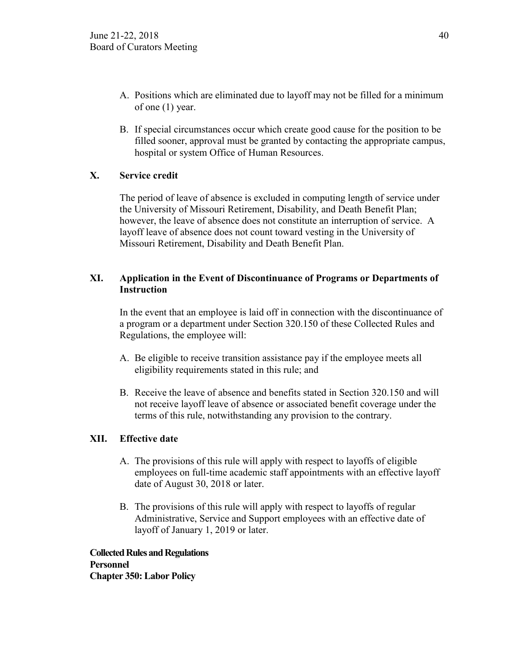- A. Positions which are eliminated due to layoff may not be filled for a minimum of one (1) year.
- B. If special circumstances occur which create good cause for the position to be filled sooner, approval must be granted by contacting the appropriate campus, hospital or system Office of Human Resources.

## **X. Service credit**

The period of leave of absence is excluded in computing length of service under the University of Missouri Retirement, Disability, and Death Benefit Plan; however, the leave of absence does not constitute an interruption of service. A layoff leave of absence does not count toward vesting in the University of Missouri Retirement, Disability and Death Benefit Plan.

## **XI. Application in the Event of Discontinuance of Programs or Departments of Instruction**

In the event that an employee is laid off in connection with the discontinuance of a program or a department under Section 320.150 of these Collected Rules and Regulations, the employee will:

- A. Be eligible to receive transition assistance pay if the employee meets all eligibility requirements stated in this rule; and
- B. Receive the leave of absence and benefits stated in Section 320.150 and will not receive layoff leave of absence or associated benefit coverage under the terms of this rule, notwithstanding any provision to the contrary.

## **XII. Effective date**

- A. The provisions of this rule will apply with respect to layoffs of eligible employees on full-time academic staff appointments with an effective layoff date of August 30, 2018 or later.
- B. The provisions of this rule will apply with respect to layoffs of regular Administrative, Service and Support employees with an effective date of layoff of January 1, 2019 or later.

**Collected Rules and Regulations Personnel Chapter 350: Labor Policy**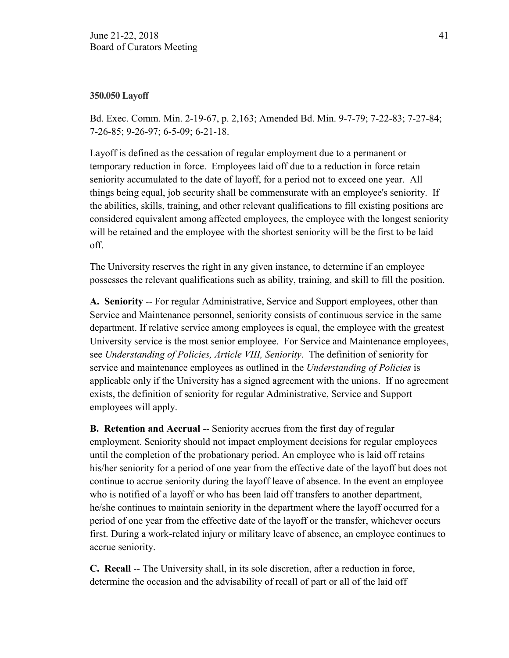## **350.050 Layoff**

Bd. Exec. Comm. Min. 2-19-67, p. 2,163; Amended Bd. Min. 9-7-79; 7-22-83; 7-27-84; 7-26-85; 9-26-97; 6-5-09; 6-21-18.

Layoff is defined as the cessation of regular employment due to a permanent or temporary reduction in force. Employees laid off due to a reduction in force retain seniority accumulated to the date of layoff, for a period not to exceed one year. All things being equal, job security shall be commensurate with an employee's seniority. If the abilities, skills, training, and other relevant qualifications to fill existing positions are considered equivalent among affected employees, the employee with the longest seniority will be retained and the employee with the shortest seniority will be the first to be laid off.

The University reserves the right in any given instance, to determine if an employee possesses the relevant qualifications such as ability, training, and skill to fill the position.

**A. Seniority** -- For regular Administrative, Service and Support employees, other than Service and Maintenance personnel, seniority consists of continuous service in the same department. If relative service among employees is equal, the employee with the greatest University service is the most senior employee. For Service and Maintenance employees, see *Understanding of Policies, Article VIII, Seniority*. The definition of seniority for service and maintenance employees as outlined in the *Understanding of Policies* is applicable only if the University has a signed agreement with the unions. If no agreement exists, the definition of seniority for regular Administrative, Service and Support employees will apply.

**B.** Retention and Accrual -- Seniority accrues from the first day of regular employment. Seniority should not impact employment decisions for regular employees until the completion of the probationary period. An employee who is laid off retains his/her seniority for a period of one year from the effective date of the layoff but does not continue to accrue seniority during the layoff leave of absence. In the event an employee who is notified of a layoff or who has been laid off transfers to another department, he/she continues to maintain seniority in the department where the layoff occurred for a period of one year from the effective date of the layoff or the transfer, whichever occurs first. During a work-related injury or military leave of absence, an employee continues to accrue seniority.

**C. Recall** -- The University shall, in its sole discretion, after a reduction in force, determine the occasion and the advisability of recall of part or all of the laid off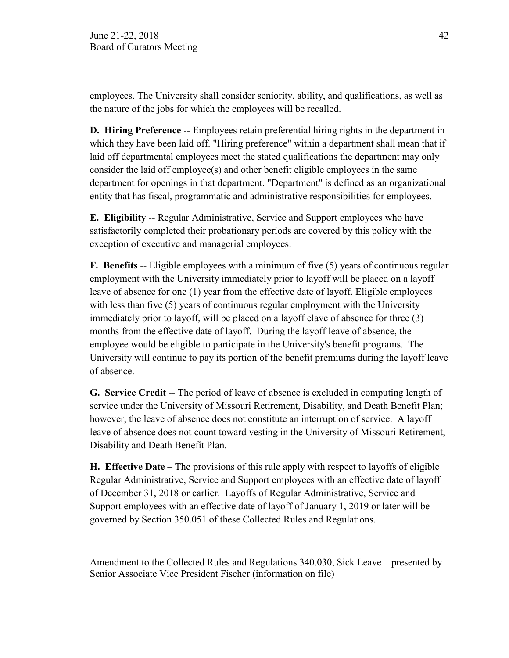employees. The University shall consider seniority, ability, and qualifications, as well as the nature of the jobs for which the employees will be recalled.

**D. Hiring Preference** -- Employees retain preferential hiring rights in the department in which they have been laid off. "Hiring preference" within a department shall mean that if laid off departmental employees meet the stated qualifications the department may only consider the laid off employee(s) and other benefit eligible employees in the same department for openings in that department. "Department" is defined as an organizational entity that has fiscal, programmatic and administrative responsibilities for employees.

**E. Eligibility** -- Regular Administrative, Service and Support employees who have satisfactorily completed their probationary periods are covered by this policy with the exception of executive and managerial employees.

**F. Benefits** -- Eligible employees with a minimum of five (5) years of continuous regular employment with the University immediately prior to layoff will be placed on a layoff leave of absence for one (1) year from the effective date of layoff. Eligible employees with less than five (5) years of continuous regular employment with the University immediately prior to layoff, will be placed on a layoff elave of absence for three (3) months from the effective date of layoff. During the layoff leave of absence, the employee would be eligible to participate in the University's benefit programs. The University will continue to pay its portion of the benefit premiums during the layoff leave of absence.

**G. Service Credit** -- The period of leave of absence is excluded in computing length of service under the University of Missouri Retirement, Disability, and Death Benefit Plan; however, the leave of absence does not constitute an interruption of service. A layoff leave of absence does not count toward vesting in the University of Missouri Retirement, Disability and Death Benefit Plan.

**H. Effective Date** – The provisions of this rule apply with respect to layoffs of eligible Regular Administrative, Service and Support employees with an effective date of layoff of December 31, 2018 or earlier. Layoffs of Regular Administrative, Service and Support employees with an effective date of layoff of January 1, 2019 or later will be governed by Section 350.051 of these Collected Rules and Regulations.

Amendment to the Collected Rules and Regulations 340.030, Sick Leave – presented by Senior Associate Vice President Fischer (information on file)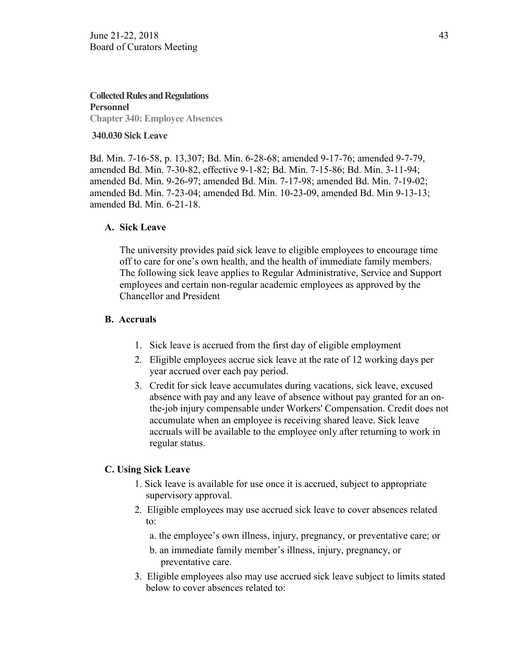**Collected Rules and Regulations Personnel Chapter 340: Employee Absences**

#### **340.030 Sick Leave**

Bd. Min. 7-16-58, p. 13,307; Bd. Min. 6-28-68; amended 9-17-76; amended 9-7-79, amended Bd. Min. 7-30-82, effective 9-1-82; Bd. Min. 7-15-86; Bd. Min. 3-11-94; amended Bd. Min. 9-26-97; amended Bd. Min. 7-17-98; amended Bd. Min. 7-19-02; amended Bd. Min. 7-23-04; amended Bd. Min. 10-23-09, amended Bd. Min 9-13-13; amended Bd. Min. 6-21-18.

## **A. Sick Leave**

The university provides paid sick leave to eligible employees to encourage time off to care for one's own health, and the health of immediate family members. The following sick leave applies to Regular Administrative, Service and Support employees and certain non-regular academic employees as approved by the Chancellor and President

## **B. Accruals**

- 1. Sick leave is accrued from the first day of eligible employment
- 2. Eligible employees accrue sick leave at the rate of 12 working days per year accrued over each pay period.
- 3. Credit for sick leave accumulates during vacations, sick leave, excused absence with pay and any leave of absence without pay granted for an onthe-job injury compensable under Workers' Compensation. Credit does not accumulate when an employee is receiving shared leave. Sick leave accruals will be available to the employee only after returning to work in regular status.

## **C. Using Sick Leave**

- 1. Sick leave is available for use once it is accrued, subject to appropriate supervisory approval.
- 2. Eligible employees may use accrued sick leave to cover absences related to:
	- a. the employee's own illness, injury, pregnancy, or preventative care; or
	- b. an immediate family member's illness, injury, pregnancy, or preventative care.
- 3. Eligible employees also may use accrued sick leave subject to limits stated below to cover absences related to: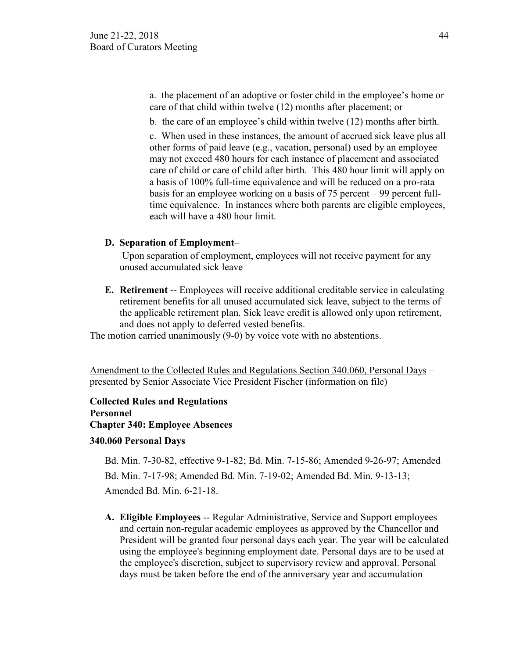a. the placement of an adoptive or foster child in the employee's home or care of that child within twelve (12) months after placement; or

b. the care of an employee's child within twelve (12) months after birth.

c. When used in these instances, the amount of accrued sick leave plus all other forms of paid leave (e.g., vacation, personal) used by an employee may not exceed 480 hours for each instance of placement and associated care of child or care of child after birth. This 480 hour limit will apply on a basis of 100% full-time equivalence and will be reduced on a pro-rata basis for an employee working on a basis of 75 percent – 99 percent fulltime equivalence. In instances where both parents are eligible employees, each will have a 480 hour limit.

## **D. Separation of Employment**–

Upon separation of employment, employees will not receive payment for any unused accumulated sick leave

**E. Retirement** -- Employees will receive additional creditable service in calculating retirement benefits for all unused accumulated sick leave, subject to the terms of the applicable retirement plan. Sick leave credit is allowed only upon retirement, and does not apply to deferred vested benefits.

The motion carried unanimously (9-0) by voice vote with no abstentions.

Amendment to the Collected Rules and Regulations Section 340.060, Personal Days – presented by Senior Associate Vice President Fischer (information on file)

**Collected Rules and Regulations Personnel Chapter 340: Employee Absences**

## **340.060 Personal Days**

Bd. Min. 7-30-82, effective 9-1-82; Bd. Min. 7-15-86; Amended 9-26-97; Amended Bd. Min. 7-17-98; Amended Bd. Min. 7-19-02; Amended Bd. Min. 9-13-13; Amended Bd. Min. 6-21-18.

**A. Eligible Employees** -- Regular Administrative, Service and Support employees and certain non-regular academic employees as approved by the Chancellor and President will be granted four personal days each year. The year will be calculated using the employee's beginning employment date. Personal days are to be used at the employee's discretion, subject to supervisory review and approval. Personal days must be taken before the end of the anniversary year and accumulation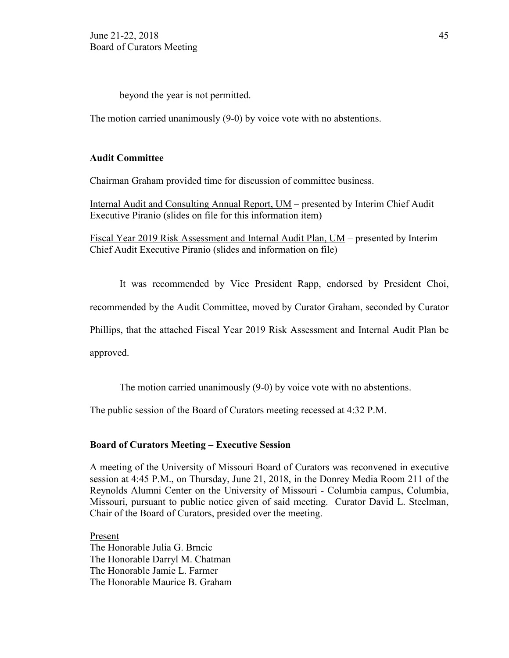beyond the year is not permitted.

The motion carried unanimously (9-0) by voice vote with no abstentions.

## **Audit Committee**

Chairman Graham provided time for discussion of committee business.

Internal Audit and Consulting Annual Report, UM – presented by Interim Chief Audit Executive Piranio (slides on file for this information item)

Fiscal Year 2019 Risk Assessment and Internal Audit Plan, UM – presented by Interim Chief Audit Executive Piranio (slides and information on file)

It was recommended by Vice President Rapp, endorsed by President Choi,

recommended by the Audit Committee, moved by Curator Graham, seconded by Curator

Phillips, that the attached Fiscal Year 2019 Risk Assessment and Internal Audit Plan be

approved.

The motion carried unanimously (9-0) by voice vote with no abstentions.

The public session of the Board of Curators meeting recessed at 4:32 P.M.

#### **Board of Curators Meeting – Executive Session**

A meeting of the University of Missouri Board of Curators was reconvened in executive session at 4:45 P.M., on Thursday, June 21, 2018, in the Donrey Media Room 211 of the Reynolds Alumni Center on the University of Missouri - Columbia campus, Columbia, Missouri, pursuant to public notice given of said meeting. Curator David L. Steelman, Chair of the Board of Curators, presided over the meeting.

Present The Honorable Julia G. Brncic The Honorable Darryl M. Chatman The Honorable Jamie L. Farmer The Honorable Maurice B. Graham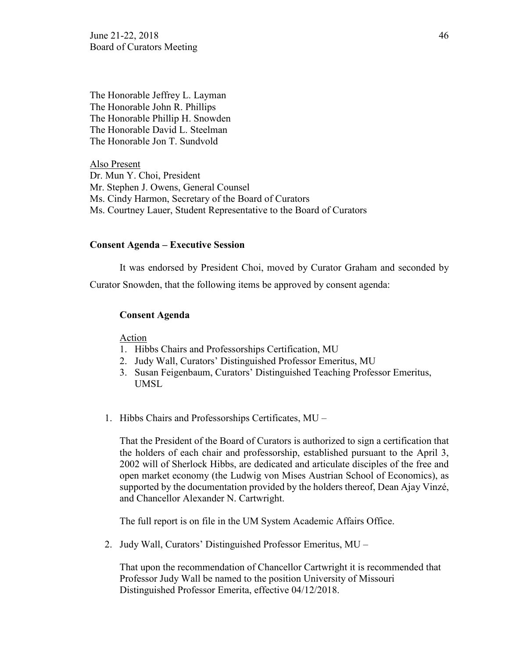June 21-22, 2018  $\frac{46}{46}$ Board of Curators Meeting

The Honorable Jeffrey L. Layman The Honorable John R. Phillips The Honorable Phillip H. Snowden The Honorable David L. Steelman The Honorable Jon T. Sundvold

Also Present Dr. Mun Y. Choi, President Mr. Stephen J. Owens, General Counsel Ms. Cindy Harmon, Secretary of the Board of Curators Ms. Courtney Lauer, Student Representative to the Board of Curators

#### **Consent Agenda – Executive Session**

It was endorsed by President Choi, moved by Curator Graham and seconded by Curator Snowden, that the following items be approved by consent agenda:

## **Consent Agenda**

Action

- 1. Hibbs Chairs and Professorships Certification, MU
- 2. Judy Wall, Curators' Distinguished Professor Emeritus, MU
- 3. Susan Feigenbaum, Curators' Distinguished Teaching Professor Emeritus, UMSL
- 1. Hibbs Chairs and Professorships Certificates, MU –

That the President of the Board of Curators is authorized to sign a certification that the holders of each chair and professorship, established pursuant to the April 3, 2002 will of Sherlock Hibbs, are dedicated and articulate disciples of the free and open market economy (the Ludwig von Mises Austrian School of Economics), as supported by the documentation provided by the holders thereof, Dean Ajay Vinzé, and Chancellor Alexander N. Cartwright.

The full report is on file in the UM System Academic Affairs Office.

2. Judy Wall, Curators' Distinguished Professor Emeritus, MU –

That upon the recommendation of Chancellor Cartwright it is recommended that Professor Judy Wall be named to the position University of Missouri Distinguished Professor Emerita, effective 04/12/2018.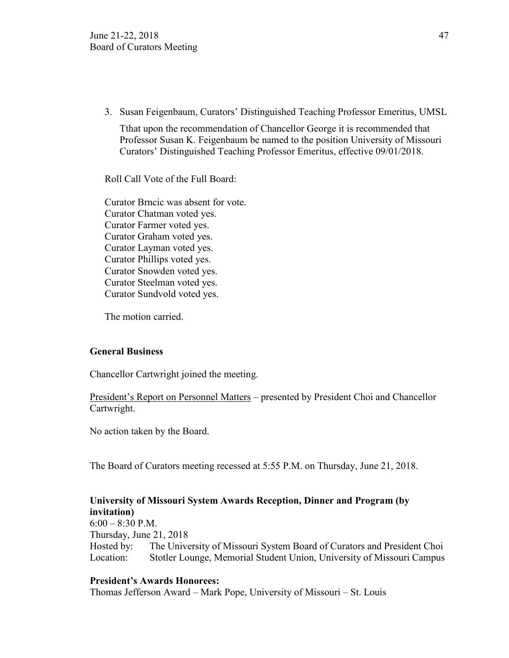3. Susan Feigenbaum, Curators' Distinguished Teaching Professor Emeritus, UMSL

Tthat upon the recommendation of Chancellor George it is recommended that Professor Susan K. Feigenbaum be named to the position University of Missouri Curators' Distinguished Teaching Professor Emeritus, effective 09/01/2018.

Roll Call Vote of the Full Board:

Curator Brncic was absent for vote. Curator Chatman voted yes. Curator Farmer voted yes. Curator Graham voted yes. Curator Layman voted yes. Curator Phillips voted yes. Curator Snowden voted yes. Curator Steelman voted yes. Curator Sundvold voted yes.

The motion carried.

## **General Business**

Chancellor Cartwright joined the meeting.

President's Report on Personnel Matters – presented by President Choi and Chancellor Cartwright.

No action taken by the Board.

The Board of Curators meeting recessed at 5:55 P.M. on Thursday, June 21, 2018.

# **University of Missouri System Awards Reception, Dinner and Program (by invitation)**

 $6:00 - 8:30$  P.M. Thursday, June 21, 2018 Hosted by: The University of Missouri System Board of Curators and President Choi Location: Stotler Lounge, Memorial Student Union, University of Missouri Campus

## **President's Awards Honorees:**

Thomas Jefferson Award – Mark Pope, University of Missouri – St. Louis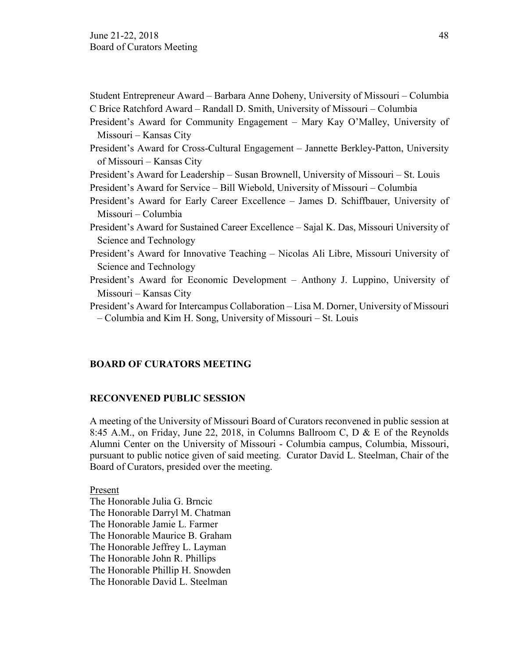| Student Entrepreneur Award – Barbara Anne Doheny, University of Missouri – Columbia                                                                        |
|------------------------------------------------------------------------------------------------------------------------------------------------------------|
| C Brice Ratchford Award – Randall D. Smith, University of Missouri – Columbia                                                                              |
| President's Award for Community Engagement - Mary Kay O'Malley, University of                                                                              |
| Missouri – Kansas City                                                                                                                                     |
| President's Award for Cross-Cultural Engagement - Jannette Berkley-Patton, University                                                                      |
| of Missouri – Kansas City                                                                                                                                  |
| President's Award for Leadership – Susan Brownell, University of Missouri – St. Louis                                                                      |
| President's Award for Service – Bill Wiebold, University of Missouri – Columbia                                                                            |
| President's Award for Early Career Excellence - James D. Schiffbauer, University of                                                                        |
| Missouri – Columbia                                                                                                                                        |
| President's Award for Sustained Career Excellence – Sajal K. Das, Missouri University of                                                                   |
| Science and Technology                                                                                                                                     |
| President's Award for Innovative Teaching - Nicolas Ali Libre, Missouri University of                                                                      |
| Science and Technology                                                                                                                                     |
| President's Award for Economic Development – Anthony J. Luppino, University of                                                                             |
| Missouri – Kansas City                                                                                                                                     |
| President's Award for Intercampus Collaboration - Lisa M. Dorner, University of Missouri<br>- Columbia and Kim H. Song, University of Missouri – St. Louis |

## **BOARD OF CURATORS MEETING**

## **RECONVENED PUBLIC SESSION**

A meeting of the University of Missouri Board of Curators reconvened in public session at 8:45 A.M., on Friday, June 22, 2018, in Columns Ballroom C, D & E of the Reynolds Alumni Center on the University of Missouri - Columbia campus, Columbia, Missouri, pursuant to public notice given of said meeting. Curator David L. Steelman, Chair of the Board of Curators, presided over the meeting.

Present

The Honorable Julia G. Brncic The Honorable Darryl M. Chatman The Honorable Jamie L. Farmer The Honorable Maurice B. Graham The Honorable Jeffrey L. Layman The Honorable John R. Phillips The Honorable Phillip H. Snowden The Honorable David L. Steelman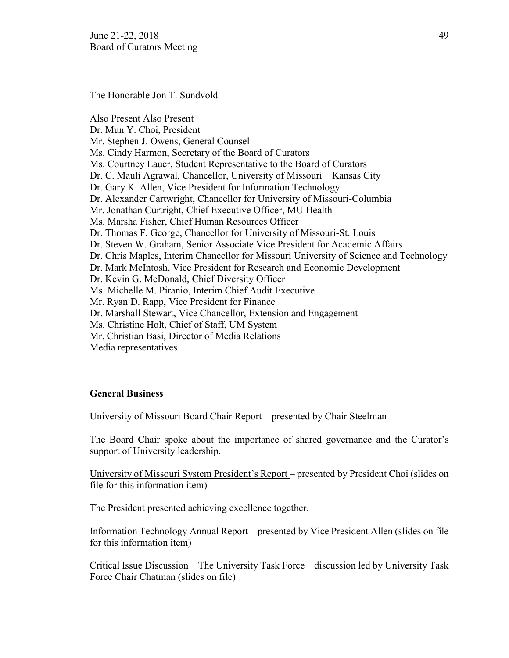June 21-22, 2018  $\frac{49}{2}$ Board of Curators Meeting

The Honorable Jon T. Sundvold

Also Present Also Present Dr. Mun Y. Choi, President Mr. Stephen J. Owens, General Counsel Ms. Cindy Harmon, Secretary of the Board of Curators Ms. Courtney Lauer, Student Representative to the Board of Curators Dr. C. Mauli Agrawal, Chancellor, University of Missouri – Kansas City Dr. Gary K. Allen, Vice President for Information Technology Dr. Alexander Cartwright, Chancellor for University of Missouri-Columbia Mr. Jonathan Curtright, Chief Executive Officer, MU Health Ms. Marsha Fisher, Chief Human Resources Officer Dr. Thomas F. George, Chancellor for University of Missouri-St. Louis Dr. Steven W. Graham, Senior Associate Vice President for Academic Affairs Dr. Chris Maples, Interim Chancellor for Missouri University of Science and Technology Dr. Mark McIntosh, Vice President for Research and Economic Development Dr. Kevin G. McDonald, Chief Diversity Officer Ms. Michelle M. Piranio, Interim Chief Audit Executive Mr. Ryan D. Rapp, Vice President for Finance Dr. Marshall Stewart, Vice Chancellor, Extension and Engagement Ms. Christine Holt, Chief of Staff, UM System Mr. Christian Basi, Director of Media Relations Media representatives

## **General Business**

University of Missouri Board Chair Report – presented by Chair Steelman

The Board Chair spoke about the importance of shared governance and the Curator's support of University leadership.

University of Missouri System President's Report – presented by President Choi (slides on file for this information item)

The President presented achieving excellence together.

Information Technology Annual Report – presented by Vice President Allen (slides on file for this information item)

Critical Issue Discussion – The University Task Force – discussion led by University Task Force Chair Chatman (slides on file)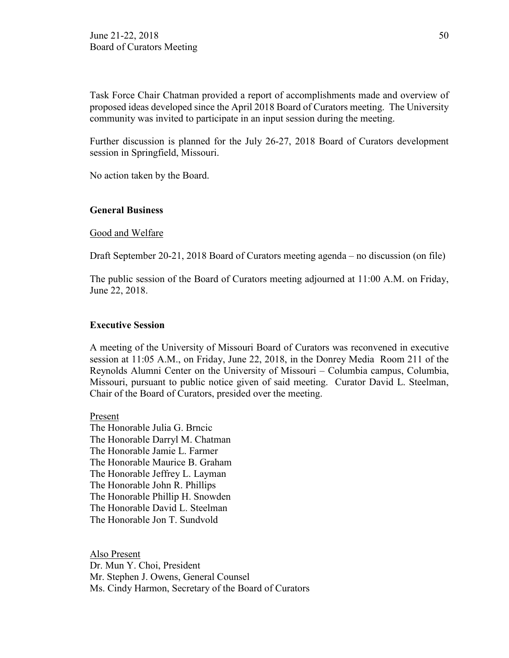Task Force Chair Chatman provided a report of accomplishments made and overview of proposed ideas developed since the April 2018 Board of Curators meeting. The University community was invited to participate in an input session during the meeting.

Further discussion is planned for the July 26-27, 2018 Board of Curators development session in Springfield, Missouri.

No action taken by the Board.

## **General Business**

Good and Welfare

Draft September 20-21, 2018 Board of Curators meeting agenda – no discussion (on file)

The public session of the Board of Curators meeting adjourned at 11:00 A.M. on Friday, June 22, 2018.

## **Executive Session**

A meeting of the University of Missouri Board of Curators was reconvened in executive session at 11:05 A.M., on Friday, June 22, 2018, in the Donrey Media Room 211 of the Reynolds Alumni Center on the University of Missouri – Columbia campus, Columbia, Missouri, pursuant to public notice given of said meeting. Curator David L. Steelman, Chair of the Board of Curators, presided over the meeting.

Present The Honorable Julia G. Brncic The Honorable Darryl M. Chatman The Honorable Jamie L. Farmer The Honorable Maurice B. Graham The Honorable Jeffrey L. Layman The Honorable John R. Phillips The Honorable Phillip H. Snowden The Honorable David L. Steelman The Honorable Jon T. Sundvold

Also Present Dr. Mun Y. Choi, President Mr. Stephen J. Owens, General Counsel Ms. Cindy Harmon, Secretary of the Board of Curators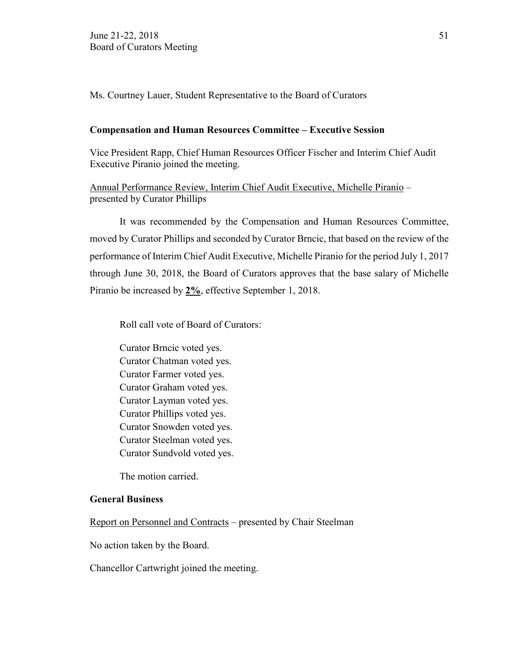Ms. Courtney Lauer, Student Representative to the Board of Curators

#### **Compensation and Human Resources Committee – Executive Session**

Vice President Rapp, Chief Human Resources Officer Fischer and Interim Chief Audit Executive Piranio joined the meeting.

Annual Performance Review, Interim Chief Audit Executive, Michelle Piranio – presented by Curator Phillips

It was recommended by the Compensation and Human Resources Committee, moved by Curator Phillips and seconded by Curator Brncic, that based on the review of the performance of Interim Chief Audit Executive, Michelle Piranio for the period July 1, 2017 through June 30, 2018, the Board of Curators approves that the base salary of Michelle Piranio be increased by **2%**, effective September 1, 2018.

Roll call vote of Board of Curators:

Curator Brncic voted yes. Curator Chatman voted yes. Curator Farmer voted yes. Curator Graham voted yes. Curator Layman voted yes. Curator Phillips voted yes. Curator Snowden voted yes. Curator Steelman voted yes. Curator Sundvold voted yes.

The motion carried.

## **General Business**

Report on Personnel and Contracts – presented by Chair Steelman

No action taken by the Board.

Chancellor Cartwright joined the meeting.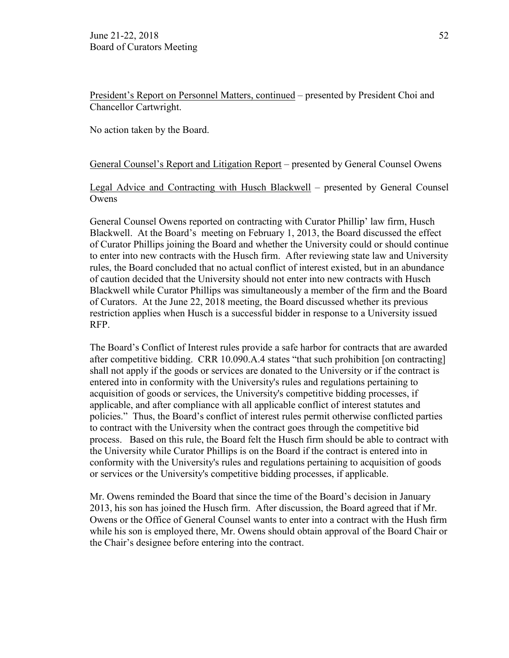President's Report on Personnel Matters, continued – presented by President Choi and Chancellor Cartwright.

No action taken by the Board.

## General Counsel's Report and Litigation Report – presented by General Counsel Owens

Legal Advice and Contracting with Husch Blackwell – presented by General Counsel Owens

General Counsel Owens reported on contracting with Curator Phillip' law firm, Husch Blackwell. At the Board's meeting on February 1, 2013, the Board discussed the effect of Curator Phillips joining the Board and whether the University could or should continue to enter into new contracts with the Husch firm. After reviewing state law and University rules, the Board concluded that no actual conflict of interest existed, but in an abundance of caution decided that the University should not enter into new contracts with Husch Blackwell while Curator Phillips was simultaneously a member of the firm and the Board of Curators. At the June 22, 2018 meeting, the Board discussed whether its previous restriction applies when Husch is a successful bidder in response to a University issued RFP.

The Board's Conflict of Interest rules provide a safe harbor for contracts that are awarded after competitive bidding. CRR 10.090.A.4 states "that such prohibition [on contracting] shall not apply if the goods or services are donated to the University or if the contract is entered into in conformity with the University's rules and regulations pertaining to acquisition of goods or services, the University's competitive bidding processes, if applicable, and after compliance with all applicable conflict of interest statutes and policies." Thus, the Board's conflict of interest rules permit otherwise conflicted parties to contract with the University when the contract goes through the competitive bid process. Based on this rule, the Board felt the Husch firm should be able to contract with the University while Curator Phillips is on the Board if the contract is entered into in conformity with the University's rules and regulations pertaining to acquisition of goods or services or the University's competitive bidding processes, if applicable.

Mr. Owens reminded the Board that since the time of the Board's decision in January 2013, his son has joined the Husch firm. After discussion, the Board agreed that if Mr. Owens or the Office of General Counsel wants to enter into a contract with the Hush firm while his son is employed there, Mr. Owens should obtain approval of the Board Chair or the Chair's designee before entering into the contract.